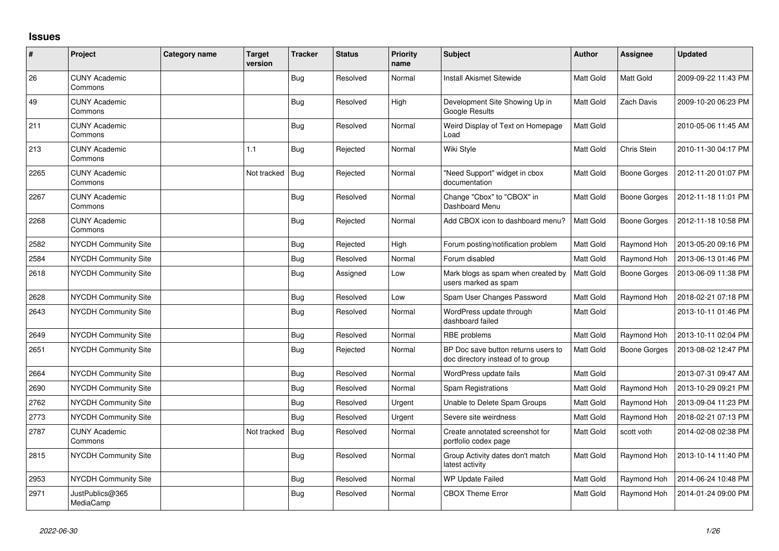## **Issues**

| #    | Project                         | <b>Category name</b> | <b>Target</b><br>version | <b>Tracker</b> | <b>Status</b> | <b>Priority</b><br>name | <b>Subject</b>                                                           | <b>Author</b> | <b>Assignee</b>     | <b>Updated</b>      |
|------|---------------------------------|----------------------|--------------------------|----------------|---------------|-------------------------|--------------------------------------------------------------------------|---------------|---------------------|---------------------|
| 26   | <b>CUNY Academic</b><br>Commons |                      |                          | <b>Bug</b>     | Resolved      | Normal                  | <b>Install Akismet Sitewide</b>                                          | Matt Gold     | Matt Gold           | 2009-09-22 11:43 PM |
| 49   | <b>CUNY Academic</b><br>Commons |                      |                          | <b>Bug</b>     | Resolved      | High                    | Development Site Showing Up in<br>Google Results                         | Matt Gold     | Zach Davis          | 2009-10-20 06:23 PM |
| 211  | <b>CUNY Academic</b><br>Commons |                      |                          | <b>Bug</b>     | Resolved      | Normal                  | Weird Display of Text on Homepage<br>Load                                | Matt Gold     |                     | 2010-05-06 11:45 AM |
| 213  | <b>CUNY Academic</b><br>Commons |                      | 1.1                      | <b>Bug</b>     | Rejected      | Normal                  | Wiki Style                                                               | Matt Gold     | Chris Stein         | 2010-11-30 04:17 PM |
| 2265 | <b>CUNY Academic</b><br>Commons |                      | Not tracked              | Bug            | Rejected      | Normal                  | "Need Support" widget in cbox<br>documentation                           | Matt Gold     | <b>Boone Gorges</b> | 2012-11-20 01:07 PM |
| 2267 | <b>CUNY Academic</b><br>Commons |                      |                          | Bug            | Resolved      | Normal                  | Change "Cbox" to "CBOX" in<br>Dashboard Menu                             | Matt Gold     | <b>Boone Gorges</b> | 2012-11-18 11:01 PM |
| 2268 | <b>CUNY Academic</b><br>Commons |                      |                          | <b>Bug</b>     | Rejected      | Normal                  | Add CBOX icon to dashboard menu?                                         | Matt Gold     | <b>Boone Gorges</b> | 2012-11-18 10:58 PM |
| 2582 | NYCDH Community Site            |                      |                          | <b>Bug</b>     | Rejected      | High                    | Forum posting/notification problem                                       | Matt Gold     | Raymond Hoh         | 2013-05-20 09:16 PM |
| 2584 | <b>NYCDH Community Site</b>     |                      |                          | Bug            | Resolved      | Normal                  | Forum disabled                                                           | Matt Gold     | Raymond Hoh         | 2013-06-13 01:46 PM |
| 2618 | <b>NYCDH Community Site</b>     |                      |                          | <b>Bug</b>     | Assigned      | Low                     | Mark blogs as spam when created by<br>users marked as spam               | Matt Gold     | <b>Boone Gorges</b> | 2013-06-09 11:38 PM |
| 2628 | NYCDH Community Site            |                      |                          | Bug            | Resolved      | Low                     | Spam User Changes Password                                               | Matt Gold     | Raymond Hoh         | 2018-02-21 07:18 PM |
| 2643 | NYCDH Community Site            |                      |                          | <b>Bug</b>     | Resolved      | Normal                  | WordPress update through<br>dashboard failed                             | Matt Gold     |                     | 2013-10-11 01:46 PM |
| 2649 | <b>NYCDH Community Site</b>     |                      |                          | Bug            | Resolved      | Normal                  | RBE problems                                                             | Matt Gold     | Raymond Hoh         | 2013-10-11 02:04 PM |
| 2651 | <b>NYCDH Community Site</b>     |                      |                          | <b>Bug</b>     | Rejected      | Normal                  | BP Doc save button returns users to<br>doc directory instead of to group | Matt Gold     | <b>Boone Gorges</b> | 2013-08-02 12:47 PM |
| 2664 | NYCDH Community Site            |                      |                          | <b>Bug</b>     | Resolved      | Normal                  | WordPress update fails                                                   | Matt Gold     |                     | 2013-07-31 09:47 AM |
| 2690 | NYCDH Community Site            |                      |                          | <b>Bug</b>     | Resolved      | Normal                  | Spam Registrations                                                       | Matt Gold     | Raymond Hoh         | 2013-10-29 09:21 PM |
| 2762 | NYCDH Community Site            |                      |                          | <b>Bug</b>     | Resolved      | Urgent                  | Unable to Delete Spam Groups                                             | Matt Gold     | Raymond Hoh         | 2013-09-04 11:23 PM |
| 2773 | NYCDH Community Site            |                      |                          | <b>Bug</b>     | Resolved      | Urgent                  | Severe site weirdness                                                    | Matt Gold     | Raymond Hoh         | 2018-02-21 07:13 PM |
| 2787 | <b>CUNY Academic</b><br>Commons |                      | Not tracked              | Bug            | Resolved      | Normal                  | Create annotated screenshot for<br>portfolio codex page                  | Matt Gold     | scott voth          | 2014-02-08 02:38 PM |
| 2815 | NYCDH Community Site            |                      |                          | <b>Bug</b>     | Resolved      | Normal                  | Group Activity dates don't match<br>latest activity                      | Matt Gold     | Raymond Hoh         | 2013-10-14 11:40 PM |
| 2953 | NYCDH Community Site            |                      |                          | <b>Bug</b>     | Resolved      | Normal                  | WP Update Failed                                                         | Matt Gold     | Raymond Hoh         | 2014-06-24 10:48 PM |
| 2971 | JustPublics@365<br>MediaCamp    |                      |                          | Bug            | Resolved      | Normal                  | <b>CBOX Theme Error</b>                                                  | Matt Gold     | Raymond Hoh         | 2014-01-24 09:00 PM |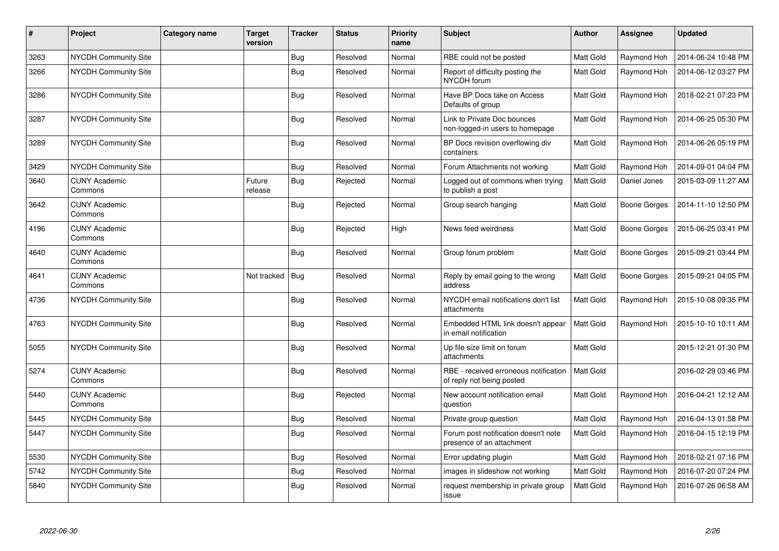| $\pmb{\#}$ | Project                         | <b>Category name</b> | <b>Target</b><br>version | <b>Tracker</b> | <b>Status</b> | <b>Priority</b><br>name | <b>Subject</b>                                                     | <b>Author</b>    | <b>Assignee</b>     | <b>Updated</b>      |
|------------|---------------------------------|----------------------|--------------------------|----------------|---------------|-------------------------|--------------------------------------------------------------------|------------------|---------------------|---------------------|
| 3263       | <b>NYCDH Community Site</b>     |                      |                          | Bug            | Resolved      | Normal                  | RBE could not be posted                                            | Matt Gold        | Raymond Hoh         | 2014-06-24 10:48 PM |
| 3266       | <b>NYCDH Community Site</b>     |                      |                          | Bug            | Resolved      | Normal                  | Report of difficulty posting the<br>NYCDH forum                    | Matt Gold        | Raymond Hoh         | 2014-06-12 03:27 PM |
| 3286       | NYCDH Community Site            |                      |                          | Bug            | Resolved      | Normal                  | Have BP Docs take on Access<br>Defaults of group                   | Matt Gold        | Raymond Hoh         | 2018-02-21 07:23 PM |
| 3287       | NYCDH Community Site            |                      |                          | Bug            | Resolved      | Normal                  | Link to Private Doc bounces<br>non-logged-in users to homepage     | Matt Gold        | Raymond Hoh         | 2014-06-25 05:30 PM |
| 3289       | NYCDH Community Site            |                      |                          | Bug            | Resolved      | Normal                  | BP Docs revision overflowing div<br>containers                     | Matt Gold        | Raymond Hoh         | 2014-06-26 05:19 PM |
| 3429       | <b>NYCDH Community Site</b>     |                      |                          | <b>Bug</b>     | Resolved      | Normal                  | Forum Attachments not working                                      | Matt Gold        | Raymond Hoh         | 2014-09-01 04:04 PM |
| 3640       | <b>CUNY Academic</b><br>Commons |                      | Future<br>release        | <b>Bug</b>     | Rejected      | Normal                  | Logged out of commons when trying<br>to publish a post             | Matt Gold        | Daniel Jones        | 2015-03-09 11:27 AM |
| 3642       | <b>CUNY Academic</b><br>Commons |                      |                          | Bug            | Rejected      | Normal                  | Group search hanging                                               | Matt Gold        | Boone Gorges        | 2014-11-10 12:50 PM |
| 4196       | <b>CUNY Academic</b><br>Commons |                      |                          | <b>Bug</b>     | Rejected      | High                    | News feed weirdness                                                | Matt Gold        | Boone Gorges        | 2015-06-25 03:41 PM |
| 4640       | <b>CUNY Academic</b><br>Commons |                      |                          | Bug            | Resolved      | Normal                  | Group forum problem                                                | Matt Gold        | <b>Boone Gorges</b> | 2015-09-21 03:44 PM |
| 4641       | <b>CUNY Academic</b><br>Commons |                      | Not tracked              | Bug            | Resolved      | Normal                  | Reply by email going to the wrong<br>address                       | Matt Gold        | Boone Gorges        | 2015-09-21 04:05 PM |
| 4736       | <b>NYCDH Community Site</b>     |                      |                          | Bug            | Resolved      | Normal                  | NYCDH email notifications don't list<br>attachments                | Matt Gold        | Raymond Hoh         | 2015-10-08 09:35 PM |
| 4763       | <b>NYCDH Community Site</b>     |                      |                          | Bug            | Resolved      | Normal                  | Embedded HTML link doesn't appear<br>in email notification         | Matt Gold        | Raymond Hoh         | 2015-10-10 10:11 AM |
| 5055       | <b>NYCDH Community Site</b>     |                      |                          | <b>Bug</b>     | Resolved      | Normal                  | Up file size limit on forum<br>attachments                         | Matt Gold        |                     | 2015-12-21 01:30 PM |
| 5274       | <b>CUNY Academic</b><br>Commons |                      |                          | Bug            | Resolved      | Normal                  | RBE - received erroneous notification<br>of reply not being posted | <b>Matt Gold</b> |                     | 2016-02-29 03:46 PM |
| 5440       | <b>CUNY Academic</b><br>Commons |                      |                          | Bug            | Rejected      | Normal                  | New account notification email<br>question                         | <b>Matt Gold</b> | Raymond Hoh         | 2016-04-21 12:12 AM |
| 5445       | <b>NYCDH Community Site</b>     |                      |                          | <b>Bug</b>     | Resolved      | Normal                  | Private group question                                             | Matt Gold        | Raymond Hoh         | 2016-04-13 01:58 PM |
| 5447       | <b>NYCDH Community Site</b>     |                      |                          | Bug            | Resolved      | Normal                  | Forum post notification doesn't note<br>presence of an attachment  | Matt Gold        | Raymond Hoh         | 2016-04-15 12:19 PM |
| 5530       | NYCDH Community Site            |                      |                          | <b>Bug</b>     | Resolved      | Normal                  | Error updating plugin                                              | Matt Gold        | Raymond Hoh         | 2018-02-21 07:16 PM |
| 5742       | <b>NYCDH Community Site</b>     |                      |                          | <b>Bug</b>     | Resolved      | Normal                  | images in slideshow not working                                    | Matt Gold        | Raymond Hoh         | 2016-07-20 07:24 PM |
| 5840       | NYCDH Community Site            |                      |                          | Bug            | Resolved      | Normal                  | request membership in private group<br>issue                       | Matt Gold        | Raymond Hoh         | 2016-07-26 06:58 AM |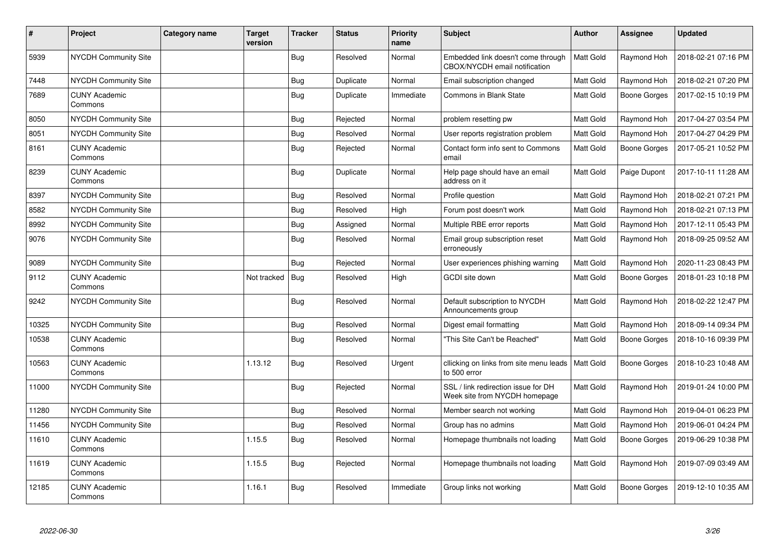| $\pmb{\#}$ | Project                         | <b>Category name</b> | <b>Target</b><br>version | <b>Tracker</b> | <b>Status</b> | <b>Priority</b><br>name | <b>Subject</b>                                                       | <b>Author</b>    | Assignee     | <b>Updated</b>      |
|------------|---------------------------------|----------------------|--------------------------|----------------|---------------|-------------------------|----------------------------------------------------------------------|------------------|--------------|---------------------|
| 5939       | <b>NYCDH Community Site</b>     |                      |                          | Bug            | Resolved      | Normal                  | Embedded link doesn't come through<br>CBOX/NYCDH email notification  | Matt Gold        | Raymond Hoh  | 2018-02-21 07:16 PM |
| 7448       | NYCDH Community Site            |                      |                          | <b>Bug</b>     | Duplicate     | Normal                  | Email subscription changed                                           | Matt Gold        | Raymond Hoh  | 2018-02-21 07:20 PM |
| 7689       | <b>CUNY Academic</b><br>Commons |                      |                          | <b>Bug</b>     | Duplicate     | Immediate               | Commons in Blank State                                               | Matt Gold        | Boone Gorges | 2017-02-15 10:19 PM |
| 8050       | NYCDH Community Site            |                      |                          | <b>Bug</b>     | Rejected      | Normal                  | problem resetting pw                                                 | Matt Gold        | Raymond Hoh  | 2017-04-27 03:54 PM |
| 8051       | <b>NYCDH Community Site</b>     |                      |                          | <b>Bug</b>     | Resolved      | Normal                  | User reports registration problem                                    | Matt Gold        | Raymond Hoh  | 2017-04-27 04:29 PM |
| 8161       | <b>CUNY Academic</b><br>Commons |                      |                          | Bug            | Rejected      | Normal                  | Contact form info sent to Commons<br>email                           | Matt Gold        | Boone Gorges | 2017-05-21 10:52 PM |
| 8239       | <b>CUNY Academic</b><br>Commons |                      |                          | Bug            | Duplicate     | Normal                  | Help page should have an email<br>address on it                      | Matt Gold        | Paige Dupont | 2017-10-11 11:28 AM |
| 8397       | NYCDH Community Site            |                      |                          | <b>Bug</b>     | Resolved      | Normal                  | Profile question                                                     | Matt Gold        | Raymond Hoh  | 2018-02-21 07:21 PM |
| 8582       | <b>NYCDH Community Site</b>     |                      |                          | <b>Bug</b>     | Resolved      | High                    | Forum post doesn't work                                              | Matt Gold        | Raymond Hoh  | 2018-02-21 07:13 PM |
| 8992       | <b>NYCDH Community Site</b>     |                      |                          | <b>Bug</b>     | Assigned      | Normal                  | Multiple RBE error reports                                           | Matt Gold        | Raymond Hoh  | 2017-12-11 05:43 PM |
| 9076       | <b>NYCDH Community Site</b>     |                      |                          | <b>Bug</b>     | Resolved      | Normal                  | Email group subscription reset<br>erroneously                        | Matt Gold        | Raymond Hoh  | 2018-09-25 09:52 AM |
| 9089       | NYCDH Community Site            |                      |                          | Bug            | Rejected      | Normal                  | User experiences phishing warning                                    | Matt Gold        | Raymond Hoh  | 2020-11-23 08:43 PM |
| 9112       | <b>CUNY Academic</b><br>Commons |                      | Not tracked              | <b>Bug</b>     | Resolved      | High                    | GCDI site down                                                       | Matt Gold        | Boone Gorges | 2018-01-23 10:18 PM |
| 9242       | NYCDH Community Site            |                      |                          | Bug            | Resolved      | Normal                  | Default subscription to NYCDH<br>Announcements group                 | Matt Gold        | Raymond Hoh  | 2018-02-22 12:47 PM |
| 10325      | NYCDH Community Site            |                      |                          | <b>Bug</b>     | Resolved      | Normal                  | Digest email formatting                                              | Matt Gold        | Raymond Hoh  | 2018-09-14 09:34 PM |
| 10538      | <b>CUNY Academic</b><br>Commons |                      |                          | Bug            | Resolved      | Normal                  | "This Site Can't be Reached"                                         | Matt Gold        | Boone Gorges | 2018-10-16 09:39 PM |
| 10563      | <b>CUNY Academic</b><br>Commons |                      | 1.13.12                  | <b>Bug</b>     | Resolved      | Urgent                  | cllicking on links from site menu leads<br>to 500 error              | <b>Matt Gold</b> | Boone Gorges | 2018-10-23 10:48 AM |
| 11000      | <b>NYCDH Community Site</b>     |                      |                          | <b>Bug</b>     | Rejected      | Normal                  | SSL / link redirection issue for DH<br>Week site from NYCDH homepage | Matt Gold        | Raymond Hoh  | 2019-01-24 10:00 PM |
| 11280      | <b>NYCDH Community Site</b>     |                      |                          | Bug            | Resolved      | Normal                  | Member search not working                                            | Matt Gold        | Raymond Hoh  | 2019-04-01 06:23 PM |
| 11456      | NYCDH Community Site            |                      |                          | <b>Bug</b>     | Resolved      | Normal                  | Group has no admins                                                  | Matt Gold        | Raymond Hoh  | 2019-06-01 04:24 PM |
| 11610      | <b>CUNY Academic</b><br>Commons |                      | 1.15.5                   | <b>Bug</b>     | Resolved      | Normal                  | Homepage thumbnails not loading                                      | <b>Matt Gold</b> | Boone Gorges | 2019-06-29 10:38 PM |
| 11619      | <b>CUNY Academic</b><br>Commons |                      | 1.15.5                   | <b>Bug</b>     | Rejected      | Normal                  | Homepage thumbnails not loading                                      | Matt Gold        | Raymond Hoh  | 2019-07-09 03:49 AM |
| 12185      | <b>CUNY Academic</b><br>Commons |                      | 1.16.1                   | <b>Bug</b>     | Resolved      | Immediate               | Group links not working                                              | Matt Gold        | Boone Gorges | 2019-12-10 10:35 AM |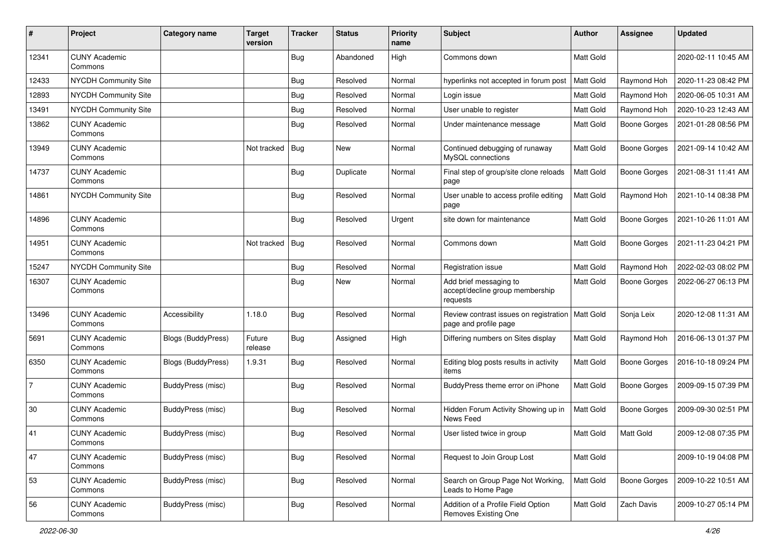| #     | Project                         | <b>Category name</b> | <b>Target</b><br>version | <b>Tracker</b> | <b>Status</b> | <b>Priority</b><br>name | Subject                                                               | <b>Author</b>    | <b>Assignee</b>     | <b>Updated</b>      |
|-------|---------------------------------|----------------------|--------------------------|----------------|---------------|-------------------------|-----------------------------------------------------------------------|------------------|---------------------|---------------------|
| 12341 | <b>CUNY Academic</b><br>Commons |                      |                          | Bug            | Abandoned     | High                    | Commons down                                                          | Matt Gold        |                     | 2020-02-11 10:45 AM |
| 12433 | NYCDH Community Site            |                      |                          | <b>Bug</b>     | Resolved      | Normal                  | hyperlinks not accepted in forum post                                 | Matt Gold        | Raymond Hoh         | 2020-11-23 08:42 PM |
| 12893 | NYCDH Community Site            |                      |                          | Bug            | Resolved      | Normal                  | Login issue                                                           | Matt Gold        | Raymond Hoh         | 2020-06-05 10:31 AM |
| 13491 | <b>NYCDH Community Site</b>     |                      |                          | <b>Bug</b>     | Resolved      | Normal                  | User unable to register                                               | Matt Gold        | Raymond Hoh         | 2020-10-23 12:43 AM |
| 13862 | <b>CUNY Academic</b><br>Commons |                      |                          | <b>Bug</b>     | Resolved      | Normal                  | Under maintenance message                                             | Matt Gold        | <b>Boone Gorges</b> | 2021-01-28 08:56 PM |
| 13949 | <b>CUNY Academic</b><br>Commons |                      | Not tracked              | Bug            | New           | Normal                  | Continued debugging of runaway<br>MySQL connections                   | Matt Gold        | <b>Boone Gorges</b> | 2021-09-14 10:42 AM |
| 14737 | <b>CUNY Academic</b><br>Commons |                      |                          | Bug            | Duplicate     | Normal                  | Final step of group/site clone reloads<br>page                        | Matt Gold        | <b>Boone Gorges</b> | 2021-08-31 11:41 AM |
| 14861 | NYCDH Community Site            |                      |                          | Bug            | Resolved      | Normal                  | User unable to access profile editing<br>page                         | Matt Gold        | Raymond Hoh         | 2021-10-14 08:38 PM |
| 14896 | <b>CUNY Academic</b><br>Commons |                      |                          | <b>Bug</b>     | Resolved      | Urgent                  | site down for maintenance                                             | Matt Gold        | <b>Boone Gorges</b> | 2021-10-26 11:01 AM |
| 14951 | <b>CUNY Academic</b><br>Commons |                      | Not tracked              | Bug            | Resolved      | Normal                  | Commons down                                                          | Matt Gold        | <b>Boone Gorges</b> | 2021-11-23 04:21 PM |
| 15247 | <b>NYCDH Community Site</b>     |                      |                          | Bug            | Resolved      | Normal                  | Registration issue                                                    | Matt Gold        | Raymond Hoh         | 2022-02-03 08:02 PM |
| 16307 | <b>CUNY Academic</b><br>Commons |                      |                          | <b>Bug</b>     | New           | Normal                  | Add brief messaging to<br>accept/decline group membership<br>requests | Matt Gold        | <b>Boone Gorges</b> | 2022-06-27 06:13 PM |
| 13496 | <b>CUNY Academic</b><br>Commons | Accessibility        | 1.18.0                   | <b>Bug</b>     | Resolved      | Normal                  | Review contrast issues on registration<br>page and profile page       | <b>Matt Gold</b> | Sonja Leix          | 2020-12-08 11:31 AM |
| 5691  | <b>CUNY Academic</b><br>Commons | Blogs (BuddyPress)   | Future<br>release        | Bug            | Assigned      | High                    | Differing numbers on Sites display                                    | Matt Gold        | Raymond Hoh         | 2016-06-13 01:37 PM |
| 6350  | <b>CUNY Academic</b><br>Commons | Blogs (BuddyPress)   | 1.9.31                   | Bug            | Resolved      | Normal                  | Editing blog posts results in activity<br>items                       | Matt Gold        | <b>Boone Gorges</b> | 2016-10-18 09:24 PM |
| 7     | <b>CUNY Academic</b><br>Commons | BuddyPress (misc)    |                          | Bug            | Resolved      | Normal                  | BuddyPress theme error on iPhone                                      | Matt Gold        | <b>Boone Gorges</b> | 2009-09-15 07:39 PM |
| 30    | <b>CUNY Academic</b><br>Commons | BuddyPress (misc)    |                          | Bug            | Resolved      | Normal                  | Hidden Forum Activity Showing up in<br>News Feed                      | Matt Gold        | Boone Gorges        | 2009-09-30 02:51 PM |
| 41    | <b>CUNY Academic</b><br>Commons | BuddyPress (misc)    |                          | Bug            | Resolved      | Normal                  | User listed twice in group                                            | Matt Gold        | Matt Gold           | 2009-12-08 07:35 PM |
| 47    | <b>CUNY Academic</b><br>Commons | BuddyPress (misc)    |                          | Bug            | Resolved      | Normal                  | Request to Join Group Lost                                            | Matt Gold        |                     | 2009-10-19 04:08 PM |
| 53    | <b>CUNY Academic</b><br>Commons | BuddyPress (misc)    |                          | Bug            | Resolved      | Normal                  | Search on Group Page Not Working,<br>Leads to Home Page               | Matt Gold        | <b>Boone Gorges</b> | 2009-10-22 10:51 AM |
| 56    | <b>CUNY Academic</b><br>Commons | BuddyPress (misc)    |                          | <b>Bug</b>     | Resolved      | Normal                  | Addition of a Profile Field Option<br>Removes Existing One            | Matt Gold        | Zach Davis          | 2009-10-27 05:14 PM |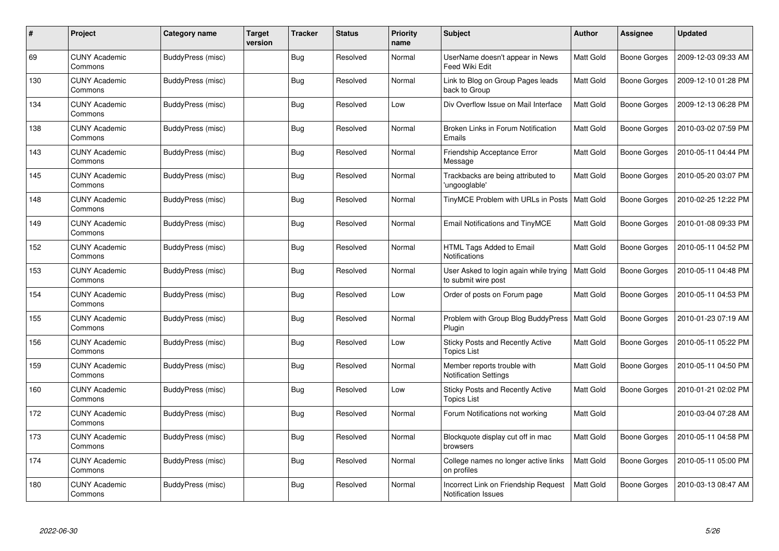| #   | Project                         | Category name            | <b>Target</b><br>version | <b>Tracker</b> | <b>Status</b> | <b>Priority</b><br>name | <b>Subject</b>                                                     | Author    | Assignee            | <b>Updated</b>      |
|-----|---------------------------------|--------------------------|--------------------------|----------------|---------------|-------------------------|--------------------------------------------------------------------|-----------|---------------------|---------------------|
| 69  | <b>CUNY Academic</b><br>Commons | BuddyPress (misc)        |                          | <b>Bug</b>     | Resolved      | Normal                  | UserName doesn't appear in News<br>Feed Wiki Edit                  | Matt Gold | Boone Gorges        | 2009-12-03 09:33 AM |
| 130 | <b>CUNY Academic</b><br>Commons | BuddyPress (misc)        |                          | Bug            | Resolved      | Normal                  | Link to Blog on Group Pages leads<br>back to Group                 | Matt Gold | Boone Gorges        | 2009-12-10 01:28 PM |
| 134 | <b>CUNY Academic</b><br>Commons | BuddyPress (misc)        |                          | Bug            | Resolved      | Low                     | Div Overflow Issue on Mail Interface                               | Matt Gold | Boone Gorges        | 2009-12-13 06:28 PM |
| 138 | <b>CUNY Academic</b><br>Commons | <b>BuddyPress (misc)</b> |                          | <b>Bug</b>     | Resolved      | Normal                  | Broken Links in Forum Notification<br>Emails                       | Matt Gold | Boone Gorges        | 2010-03-02 07:59 PM |
| 143 | <b>CUNY Academic</b><br>Commons | BuddyPress (misc)        |                          | Bug            | Resolved      | Normal                  | Friendship Acceptance Error<br>Message                             | Matt Gold | Boone Gorges        | 2010-05-11 04:44 PM |
| 145 | <b>CUNY Academic</b><br>Commons | BuddyPress (misc)        |                          | Bug            | Resolved      | Normal                  | Trackbacks are being attributed to<br>'ungooglable'                | Matt Gold | Boone Gorges        | 2010-05-20 03:07 PM |
| 148 | <b>CUNY Academic</b><br>Commons | BuddyPress (misc)        |                          | <b>Bug</b>     | Resolved      | Normal                  | TinyMCE Problem with URLs in Posts                                 | Matt Gold | Boone Gorges        | 2010-02-25 12:22 PM |
| 149 | <b>CUNY Academic</b><br>Commons | BuddyPress (misc)        |                          | <b>Bug</b>     | Resolved      | Normal                  | Email Notifications and TinyMCE                                    | Matt Gold | <b>Boone Gorges</b> | 2010-01-08 09:33 PM |
| 152 | <b>CUNY Academic</b><br>Commons | BuddyPress (misc)        |                          | Bug            | Resolved      | Normal                  | HTML Tags Added to Email<br><b>Notifications</b>                   | Matt Gold | Boone Gorges        | 2010-05-11 04:52 PM |
| 153 | <b>CUNY Academic</b><br>Commons | BuddyPress (misc)        |                          | <b>Bug</b>     | Resolved      | Normal                  | User Asked to login again while trying<br>to submit wire post      | Matt Gold | Boone Gorges        | 2010-05-11 04:48 PM |
| 154 | <b>CUNY Academic</b><br>Commons | BuddyPress (misc)        |                          | <b>Bug</b>     | Resolved      | Low                     | Order of posts on Forum page                                       | Matt Gold | Boone Gorges        | 2010-05-11 04:53 PM |
| 155 | <b>CUNY Academic</b><br>Commons | BuddyPress (misc)        |                          | <b>Bug</b>     | Resolved      | Normal                  | Problem with Group Blog BuddyPress<br>Plugin                       | Matt Gold | Boone Gorges        | 2010-01-23 07:19 AM |
| 156 | <b>CUNY Academic</b><br>Commons | BuddyPress (misc)        |                          | Bug            | Resolved      | Low                     | Sticky Posts and Recently Active<br><b>Topics List</b>             | Matt Gold | Boone Gorges        | 2010-05-11 05:22 PM |
| 159 | <b>CUNY Academic</b><br>Commons | BuddyPress (misc)        |                          | <b>Bug</b>     | Resolved      | Normal                  | Member reports trouble with<br><b>Notification Settings</b>        | Matt Gold | Boone Gorges        | 2010-05-11 04:50 PM |
| 160 | <b>CUNY Academic</b><br>Commons | BuddyPress (misc)        |                          | <b>Bug</b>     | Resolved      | Low                     | Sticky Posts and Recently Active<br><b>Topics List</b>             | Matt Gold | Boone Gorges        | 2010-01-21 02:02 PM |
| 172 | <b>CUNY Academic</b><br>Commons | BuddyPress (misc)        |                          | <b>Bug</b>     | Resolved      | Normal                  | Forum Notifications not working                                    | Matt Gold |                     | 2010-03-04 07:28 AM |
| 173 | <b>CUNY Academic</b><br>Commons | BuddyPress (misc)        |                          | <b>Bug</b>     | Resolved      | Normal                  | Blockquote display cut off in mac<br>browsers                      | Matt Gold | Boone Gorges        | 2010-05-11 04:58 PM |
| 174 | <b>CUNY Academic</b><br>Commons | BuddyPress (misc)        |                          | <b>Bug</b>     | Resolved      | Normal                  | College names no longer active links<br>on profiles                | Matt Gold | Boone Gorges        | 2010-05-11 05:00 PM |
| 180 | CUNY Academic<br>Commons        | BuddyPress (misc)        |                          | <b>Bug</b>     | Resolved      | Normal                  | Incorrect Link on Friendship Request<br><b>Notification Issues</b> | Matt Gold | Boone Gorges        | 2010-03-13 08:47 AM |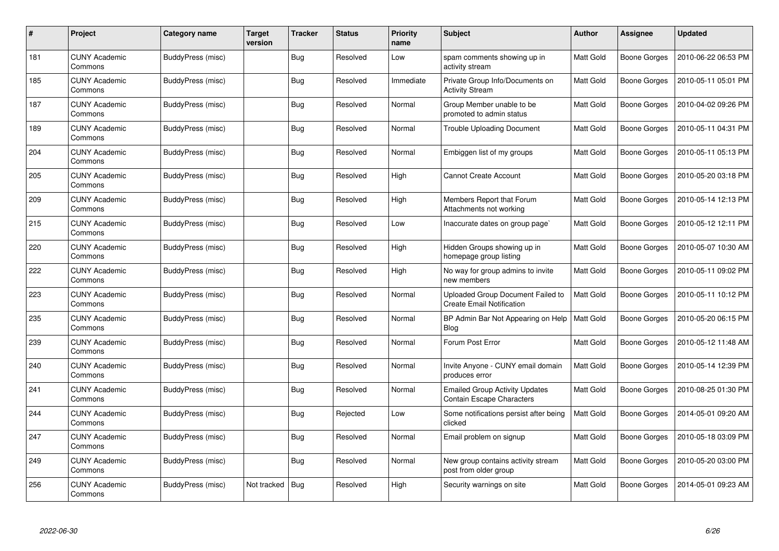| #   | <b>Project</b>                  | Category name            | <b>Target</b><br>version | <b>Tracker</b> | <b>Status</b> | <b>Priority</b><br>name | <b>Subject</b>                                                            | Author    | Assignee     | <b>Updated</b>      |
|-----|---------------------------------|--------------------------|--------------------------|----------------|---------------|-------------------------|---------------------------------------------------------------------------|-----------|--------------|---------------------|
| 181 | <b>CUNY Academic</b><br>Commons | BuddyPress (misc)        |                          | <b>Bug</b>     | Resolved      | Low                     | spam comments showing up in<br>activity stream                            | Matt Gold | Boone Gorges | 2010-06-22 06:53 PM |
| 185 | <b>CUNY Academic</b><br>Commons | BuddyPress (misc)        |                          | Bug            | Resolved      | Immediate               | Private Group Info/Documents on<br><b>Activity Stream</b>                 | Matt Gold | Boone Gorges | 2010-05-11 05:01 PM |
| 187 | <b>CUNY Academic</b><br>Commons | BuddyPress (misc)        |                          | Bug            | Resolved      | Normal                  | Group Member unable to be<br>promoted to admin status                     | Matt Gold | Boone Gorges | 2010-04-02 09:26 PM |
| 189 | <b>CUNY Academic</b><br>Commons | BuddyPress (misc)        |                          | <b>Bug</b>     | Resolved      | Normal                  | <b>Trouble Uploading Document</b>                                         | Matt Gold | Boone Gorges | 2010-05-11 04:31 PM |
| 204 | <b>CUNY Academic</b><br>Commons | BuddyPress (misc)        |                          | Bug            | Resolved      | Normal                  | Embiggen list of my groups                                                | Matt Gold | Boone Gorges | 2010-05-11 05:13 PM |
| 205 | <b>CUNY Academic</b><br>Commons | BuddyPress (misc)        |                          | <b>Bug</b>     | Resolved      | High                    | <b>Cannot Create Account</b>                                              | Matt Gold | Boone Gorges | 2010-05-20 03:18 PM |
| 209 | <b>CUNY Academic</b><br>Commons | <b>BuddyPress (misc)</b> |                          | <b>Bug</b>     | Resolved      | High                    | Members Report that Forum<br>Attachments not working                      | Matt Gold | Boone Gorges | 2010-05-14 12:13 PM |
| 215 | <b>CUNY Academic</b><br>Commons | BuddyPress (misc)        |                          | <b>Bug</b>     | Resolved      | Low                     | Inaccurate dates on group page`                                           | Matt Gold | Boone Gorges | 2010-05-12 12:11 PM |
| 220 | <b>CUNY Academic</b><br>Commons | BuddyPress (misc)        |                          | Bug            | Resolved      | High                    | Hidden Groups showing up in<br>homepage group listing                     | Matt Gold | Boone Gorges | 2010-05-07 10:30 AM |
| 222 | <b>CUNY Academic</b><br>Commons | BuddyPress (misc)        |                          | <b>Bug</b>     | Resolved      | High                    | No way for group admins to invite<br>new members                          | Matt Gold | Boone Gorges | 2010-05-11 09:02 PM |
| 223 | <b>CUNY Academic</b><br>Commons | BuddyPress (misc)        |                          | Bug            | Resolved      | Normal                  | Uploaded Group Document Failed to<br><b>Create Email Notification</b>     | Matt Gold | Boone Gorges | 2010-05-11 10:12 PM |
| 235 | <b>CUNY Academic</b><br>Commons | BuddyPress (misc)        |                          | <b>Bug</b>     | Resolved      | Normal                  | BP Admin Bar Not Appearing on Help<br>Blog                                | Matt Gold | Boone Gorges | 2010-05-20 06:15 PM |
| 239 | <b>CUNY Academic</b><br>Commons | BuddyPress (misc)        |                          | Bug            | Resolved      | Normal                  | Forum Post Error                                                          | Matt Gold | Boone Gorges | 2010-05-12 11:48 AM |
| 240 | <b>CUNY Academic</b><br>Commons | BuddyPress (misc)        |                          | <b>Bug</b>     | Resolved      | Normal                  | Invite Anyone - CUNY email domain<br>produces error                       | Matt Gold | Boone Gorges | 2010-05-14 12:39 PM |
| 241 | <b>CUNY Academic</b><br>Commons | BuddyPress (misc)        |                          | <b>Bug</b>     | Resolved      | Normal                  | <b>Emailed Group Activity Updates</b><br><b>Contain Escape Characters</b> | Matt Gold | Boone Gorges | 2010-08-25 01:30 PM |
| 244 | <b>CUNY Academic</b><br>Commons | BuddyPress (misc)        |                          | <b>Bug</b>     | Rejected      | Low                     | Some notifications persist after being<br>clicked                         | Matt Gold | Boone Gorges | 2014-05-01 09:20 AM |
| 247 | <b>CUNY Academic</b><br>Commons | BuddyPress (misc)        |                          | <b>Bug</b>     | Resolved      | Normal                  | Email problem on signup                                                   | Matt Gold | Boone Gorges | 2010-05-18 03:09 PM |
| 249 | <b>CUNY Academic</b><br>Commons | BuddyPress (misc)        |                          | <b>Bug</b>     | Resolved      | Normal                  | New group contains activity stream<br>post from older group               | Matt Gold | Boone Gorges | 2010-05-20 03:00 PM |
| 256 | <b>CUNY Academic</b><br>Commons | BuddyPress (misc)        | Not tracked              | <b>Bug</b>     | Resolved      | High                    | Security warnings on site                                                 | Matt Gold | Boone Gorges | 2014-05-01 09:23 AM |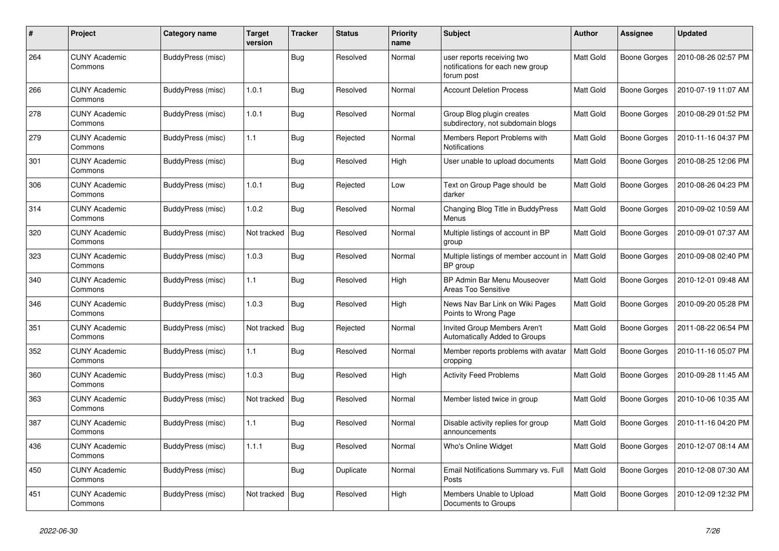| #   | Project                         | Category name     | <b>Target</b><br>version | <b>Tracker</b> | <b>Status</b> | <b>Priority</b><br>name | <b>Subject</b>                                                               | <b>Author</b> | Assignee            | <b>Updated</b>      |
|-----|---------------------------------|-------------------|--------------------------|----------------|---------------|-------------------------|------------------------------------------------------------------------------|---------------|---------------------|---------------------|
| 264 | <b>CUNY Academic</b><br>Commons | BuddyPress (misc) |                          | <b>Bug</b>     | Resolved      | Normal                  | user reports receiving two<br>notifications for each new group<br>forum post | Matt Gold     | <b>Boone Gorges</b> | 2010-08-26 02:57 PM |
| 266 | <b>CUNY Academic</b><br>Commons | BuddyPress (misc) | 1.0.1                    | <b>Bug</b>     | Resolved      | Normal                  | <b>Account Deletion Process</b>                                              | Matt Gold     | Boone Gorges        | 2010-07-19 11:07 AM |
| 278 | <b>CUNY Academic</b><br>Commons | BuddyPress (misc) | 1.0.1                    | Bug            | Resolved      | Normal                  | Group Blog plugin creates<br>subdirectory, not subdomain blogs               | Matt Gold     | <b>Boone Gorges</b> | 2010-08-29 01:52 PM |
| 279 | <b>CUNY Academic</b><br>Commons | BuddyPress (misc) | $1.1$                    | <b>Bug</b>     | Rejected      | Normal                  | Members Report Problems with<br>Notifications                                | Matt Gold     | <b>Boone Gorges</b> | 2010-11-16 04:37 PM |
| 301 | <b>CUNY Academic</b><br>Commons | BuddyPress (misc) |                          | Bug            | Resolved      | High                    | User unable to upload documents                                              | Matt Gold     | Boone Gorges        | 2010-08-25 12:06 PM |
| 306 | <b>CUNY Academic</b><br>Commons | BuddyPress (misc) | 1.0.1                    | Bug            | Rejected      | Low                     | Text on Group Page should be<br>darker                                       | Matt Gold     | Boone Gorges        | 2010-08-26 04:23 PM |
| 314 | <b>CUNY Academic</b><br>Commons | BuddyPress (misc) | 1.0.2                    | <b>Bug</b>     | Resolved      | Normal                  | Changing Blog Title in BuddyPress<br>Menus                                   | Matt Gold     | Boone Gorges        | 2010-09-02 10:59 AM |
| 320 | <b>CUNY Academic</b><br>Commons | BuddyPress (misc) | Not tracked              | Bug            | Resolved      | Normal                  | Multiple listings of account in BP<br>group                                  | Matt Gold     | Boone Gorges        | 2010-09-01 07:37 AM |
| 323 | <b>CUNY Academic</b><br>Commons | BuddyPress (misc) | 1.0.3                    | <b>Bug</b>     | Resolved      | Normal                  | Multiple listings of member account in<br>BP group                           | Matt Gold     | Boone Gorges        | 2010-09-08 02:40 PM |
| 340 | <b>CUNY Academic</b><br>Commons | BuddyPress (misc) | 1.1                      | <b>Bug</b>     | Resolved      | High                    | BP Admin Bar Menu Mouseover<br>Areas Too Sensitive                           | Matt Gold     | Boone Gorges        | 2010-12-01 09:48 AM |
| 346 | <b>CUNY Academic</b><br>Commons | BuddyPress (misc) | 1.0.3                    | Bug            | Resolved      | High                    | News Nav Bar Link on Wiki Pages<br>Points to Wrong Page                      | Matt Gold     | Boone Gorges        | 2010-09-20 05:28 PM |
| 351 | <b>CUNY Academic</b><br>Commons | BuddyPress (misc) | Not tracked              | Bug            | Rejected      | Normal                  | Invited Group Members Aren't<br>Automatically Added to Groups                | Matt Gold     | Boone Gorges        | 2011-08-22 06:54 PM |
| 352 | <b>CUNY Academic</b><br>Commons | BuddyPress (misc) | 1.1                      | Bug            | Resolved      | Normal                  | Member reports problems with avatar<br>cropping                              | Matt Gold     | Boone Gorges        | 2010-11-16 05:07 PM |
| 360 | <b>CUNY Academic</b><br>Commons | BuddyPress (misc) | 1.0.3                    | <b>Bug</b>     | Resolved      | High                    | <b>Activity Feed Problems</b>                                                | Matt Gold     | Boone Gorges        | 2010-09-28 11:45 AM |
| 363 | <b>CUNY Academic</b><br>Commons | BuddyPress (misc) | Not tracked              | Bug            | Resolved      | Normal                  | Member listed twice in group                                                 | Matt Gold     | Boone Gorges        | 2010-10-06 10:35 AM |
| 387 | <b>CUNY Academic</b><br>Commons | BuddyPress (misc) | 1.1                      | Bug            | Resolved      | Normal                  | Disable activity replies for group<br>announcements                          | Matt Gold     | Boone Gorges        | 2010-11-16 04:20 PM |
| 436 | <b>CUNY Academic</b><br>Commons | BuddyPress (misc) | 1.1.1                    | Bug            | Resolved      | Normal                  | Who's Online Widget                                                          | Matt Gold     | Boone Gorges        | 2010-12-07 08:14 AM |
| 450 | <b>CUNY Academic</b><br>Commons | BuddyPress (misc) |                          | <b>Bug</b>     | Duplicate     | Normal                  | Email Notifications Summary vs. Full<br>Posts                                | Matt Gold     | Boone Gorges        | 2010-12-08 07:30 AM |
| 451 | <b>CUNY Academic</b><br>Commons | BuddyPress (misc) | Not tracked              | Bug            | Resolved      | High                    | Members Unable to Upload<br>Documents to Groups                              | Matt Gold     | Boone Gorges        | 2010-12-09 12:32 PM |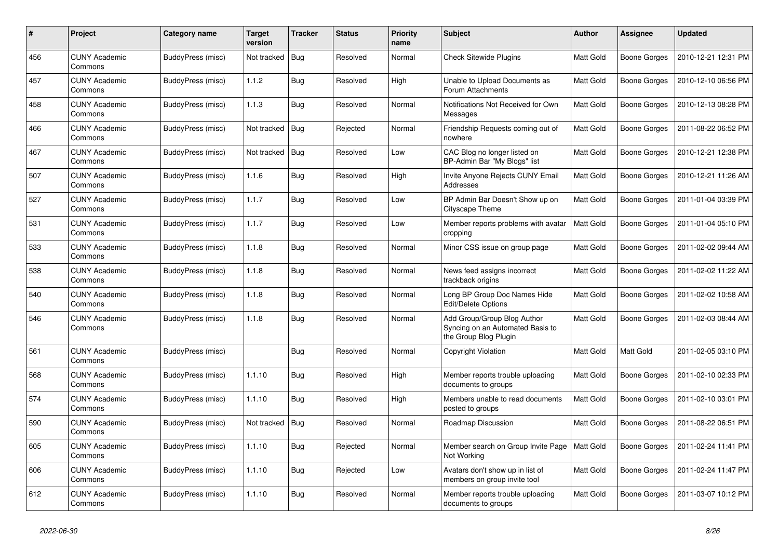| #   | Project                         | Category name            | <b>Target</b><br>version | <b>Tracker</b> | <b>Status</b> | <b>Priority</b><br>name | <b>Subject</b>                                                                           | <b>Author</b> | Assignee            | <b>Updated</b>      |
|-----|---------------------------------|--------------------------|--------------------------|----------------|---------------|-------------------------|------------------------------------------------------------------------------------------|---------------|---------------------|---------------------|
| 456 | <b>CUNY Academic</b><br>Commons | <b>BuddyPress (misc)</b> | Not tracked              | Bug            | Resolved      | Normal                  | <b>Check Sitewide Plugins</b>                                                            | Matt Gold     | Boone Gorges        | 2010-12-21 12:31 PM |
| 457 | <b>CUNY Academic</b><br>Commons | BuddyPress (misc)        | 1.1.2                    | <b>Bug</b>     | Resolved      | High                    | Unable to Upload Documents as<br>Forum Attachments                                       | Matt Gold     | <b>Boone Gorges</b> | 2010-12-10 06:56 PM |
| 458 | <b>CUNY Academic</b><br>Commons | BuddyPress (misc)        | 1.1.3                    | <b>Bug</b>     | Resolved      | Normal                  | Notifications Not Received for Own<br>Messages                                           | Matt Gold     | Boone Gorges        | 2010-12-13 08:28 PM |
| 466 | <b>CUNY Academic</b><br>Commons | BuddyPress (misc)        | Not tracked              | Bug            | Rejected      | Normal                  | Friendship Requests coming out of<br>nowhere                                             | Matt Gold     | Boone Gorges        | 2011-08-22 06:52 PM |
| 467 | <b>CUNY Academic</b><br>Commons | BuddyPress (misc)        | Not tracked              | <b>Bug</b>     | Resolved      | Low                     | CAC Blog no longer listed on<br>BP-Admin Bar "My Blogs" list                             | Matt Gold     | Boone Gorges        | 2010-12-21 12:38 PM |
| 507 | <b>CUNY Academic</b><br>Commons | BuddyPress (misc)        | 1.1.6                    | <b>Bug</b>     | Resolved      | High                    | Invite Anyone Rejects CUNY Email<br>Addresses                                            | Matt Gold     | Boone Gorges        | 2010-12-21 11:26 AM |
| 527 | <b>CUNY Academic</b><br>Commons | BuddyPress (misc)        | 1.1.7                    | Bug            | Resolved      | Low                     | BP Admin Bar Doesn't Show up on<br>Cityscape Theme                                       | Matt Gold     | Boone Gorges        | 2011-01-04 03:39 PM |
| 531 | <b>CUNY Academic</b><br>Commons | BuddyPress (misc)        | 1.1.7                    | <b>Bug</b>     | Resolved      | Low                     | Member reports problems with avatar<br>cropping                                          | Matt Gold     | Boone Gorges        | 2011-01-04 05:10 PM |
| 533 | CUNY Academic<br>Commons        | BuddyPress (misc)        | 1.1.8                    | <b>Bug</b>     | Resolved      | Normal                  | Minor CSS issue on group page                                                            | Matt Gold     | Boone Gorges        | 2011-02-02 09:44 AM |
| 538 | <b>CUNY Academic</b><br>Commons | BuddyPress (misc)        | 1.1.8                    | <b>Bug</b>     | Resolved      | Normal                  | News feed assigns incorrect<br>trackback origins                                         | Matt Gold     | Boone Gorges        | 2011-02-02 11:22 AM |
| 540 | <b>CUNY Academic</b><br>Commons | BuddyPress (misc)        | 1.1.8                    | <b>Bug</b>     | Resolved      | Normal                  | Long BP Group Doc Names Hide<br>Edit/Delete Options                                      | Matt Gold     | Boone Gorges        | 2011-02-02 10:58 AM |
| 546 | <b>CUNY Academic</b><br>Commons | <b>BuddyPress (misc)</b> | 1.1.8                    | <b>Bug</b>     | Resolved      | Normal                  | Add Group/Group Blog Author<br>Syncing on an Automated Basis to<br>the Group Blog Plugin | Matt Gold     | Boone Gorges        | 2011-02-03 08:44 AM |
| 561 | <b>CUNY Academic</b><br>Commons | BuddyPress (misc)        |                          | <b>Bug</b>     | Resolved      | Normal                  | Copyright Violation                                                                      | Matt Gold     | Matt Gold           | 2011-02-05 03:10 PM |
| 568 | <b>CUNY Academic</b><br>Commons | BuddyPress (misc)        | 1.1.10                   | <b>Bug</b>     | Resolved      | High                    | Member reports trouble uploading<br>documents to groups                                  | Matt Gold     | Boone Gorges        | 2011-02-10 02:33 PM |
| 574 | <b>CUNY Academic</b><br>Commons | <b>BuddyPress (misc)</b> | 1.1.10                   | <b>Bug</b>     | Resolved      | High                    | Members unable to read documents<br>posted to groups                                     | Matt Gold     | Boone Gorges        | 2011-02-10 03:01 PM |
| 590 | <b>CUNY Academic</b><br>Commons | BuddyPress (misc)        | Not tracked              | <b>Bug</b>     | Resolved      | Normal                  | Roadmap Discussion                                                                       | Matt Gold     | Boone Gorges        | 2011-08-22 06:51 PM |
| 605 | <b>CUNY Academic</b><br>Commons | <b>BuddyPress (misc)</b> | 1.1.10                   | <b>Bug</b>     | Rejected      | Normal                  | Member search on Group Invite Page<br>Not Working                                        | Matt Gold     | Boone Gorges        | 2011-02-24 11:41 PM |
| 606 | <b>CUNY Academic</b><br>Commons | BuddyPress (misc)        | 1.1.10                   | Bug            | Rejected      | Low                     | Avatars don't show up in list of<br>members on group invite tool                         | Matt Gold     | Boone Gorges        | 2011-02-24 11:47 PM |
| 612 | <b>CUNY Academic</b><br>Commons | BuddyPress (misc)        | 1.1.10                   | Bug            | Resolved      | Normal                  | Member reports trouble uploading<br>documents to groups                                  | Matt Gold     | Boone Gorges        | 2011-03-07 10:12 PM |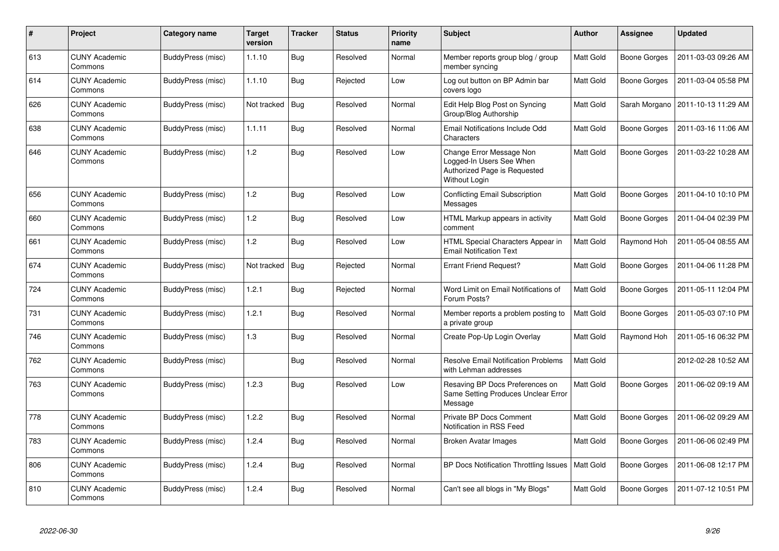| $\#$ | <b>Project</b>                  | Category name     | <b>Target</b><br>version | <b>Tracker</b> | <b>Status</b> | <b>Priority</b><br>name | <b>Subject</b>                                                                                        | <b>Author</b> | <b>Assignee</b>     | <b>Updated</b>      |
|------|---------------------------------|-------------------|--------------------------|----------------|---------------|-------------------------|-------------------------------------------------------------------------------------------------------|---------------|---------------------|---------------------|
| 613  | <b>CUNY Academic</b><br>Commons | BuddyPress (misc) | 1.1.10                   | Bug            | Resolved      | Normal                  | Member reports group blog / group<br>member syncing                                                   | Matt Gold     | Boone Gorges        | 2011-03-03 09:26 AM |
| 614  | <b>CUNY Academic</b><br>Commons | BuddyPress (misc) | 1.1.10                   | Bug            | Rejected      | Low                     | Log out button on BP Admin bar<br>covers logo                                                         | Matt Gold     | Boone Gorges        | 2011-03-04 05:58 PM |
| 626  | <b>CUNY Academic</b><br>Commons | BuddyPress (misc) | Not tracked              | Bug            | Resolved      | Normal                  | Edit Help Blog Post on Syncing<br>Group/Blog Authorship                                               | Matt Gold     | Sarah Morgano       | 2011-10-13 11:29 AM |
| 638  | <b>CUNY Academic</b><br>Commons | BuddyPress (misc) | 1.1.11                   | Bug            | Resolved      | Normal                  | Email Notifications Include Odd<br>Characters                                                         | Matt Gold     | Boone Gorges        | 2011-03-16 11:06 AM |
| 646  | <b>CUNY Academic</b><br>Commons | BuddyPress (misc) | 1.2                      | <b>Bug</b>     | Resolved      | Low                     | Change Error Message Non<br>Logged-In Users See When<br>Authorized Page is Requested<br>Without Login | Matt Gold     | Boone Gorges        | 2011-03-22 10:28 AM |
| 656  | <b>CUNY Academic</b><br>Commons | BuddyPress (misc) | 1.2                      | <b>Bug</b>     | Resolved      | Low                     | <b>Conflicting Email Subscription</b><br>Messages                                                     | Matt Gold     | <b>Boone Gorges</b> | 2011-04-10 10:10 PM |
| 660  | <b>CUNY Academic</b><br>Commons | BuddyPress (misc) | 1.2                      | Bug            | Resolved      | Low                     | HTML Markup appears in activity<br>comment                                                            | Matt Gold     | Boone Gorges        | 2011-04-04 02:39 PM |
| 661  | <b>CUNY Academic</b><br>Commons | BuddyPress (misc) | 1.2                      | <b>Bug</b>     | Resolved      | Low                     | HTML Special Characters Appear in<br><b>Email Notification Text</b>                                   | Matt Gold     | Raymond Hoh         | 2011-05-04 08:55 AM |
| 674  | <b>CUNY Academic</b><br>Commons | BuddyPress (misc) | Not tracked              | Bug            | Rejected      | Normal                  | <b>Errant Friend Request?</b>                                                                         | Matt Gold     | Boone Gorges        | 2011-04-06 11:28 PM |
| 724  | <b>CUNY Academic</b><br>Commons | BuddyPress (misc) | 1.2.1                    | <b>Bug</b>     | Rejected      | Normal                  | Word Limit on Email Notifications of<br>Forum Posts?                                                  | Matt Gold     | Boone Gorges        | 2011-05-11 12:04 PM |
| 731  | <b>CUNY Academic</b><br>Commons | BuddyPress (misc) | 1.2.1                    | <b>Bug</b>     | Resolved      | Normal                  | Member reports a problem posting to<br>a private group                                                | Matt Gold     | Boone Gorges        | 2011-05-03 07:10 PM |
| 746  | <b>CUNY Academic</b><br>Commons | BuddyPress (misc) | 1.3                      | <b>Bug</b>     | Resolved      | Normal                  | Create Pop-Up Login Overlay                                                                           | Matt Gold     | Raymond Hoh         | 2011-05-16 06:32 PM |
| 762  | <b>CUNY Academic</b><br>Commons | BuddyPress (misc) |                          | <b>Bug</b>     | Resolved      | Normal                  | <b>Resolve Email Notification Problems</b><br>with Lehman addresses                                   | Matt Gold     |                     | 2012-02-28 10:52 AM |
| 763  | <b>CUNY Academic</b><br>Commons | BuddyPress (misc) | 1.2.3                    | Bug            | Resolved      | Low                     | Resaving BP Docs Preferences on<br>Same Setting Produces Unclear Error<br>Message                     | Matt Gold     | Boone Gorges        | 2011-06-02 09:19 AM |
| 778  | <b>CUNY Academic</b><br>Commons | BuddyPress (misc) | 1.2.2                    | <b>Bug</b>     | Resolved      | Normal                  | Private BP Docs Comment<br>Notification in RSS Feed                                                   | Matt Gold     | Boone Gorges        | 2011-06-02 09:29 AM |
| 783  | <b>CUNY Academic</b><br>Commons | BuddyPress (misc) | 1.2.4                    | <b>Bug</b>     | Resolved      | Normal                  | Broken Avatar Images                                                                                  | Matt Gold     | Boone Gorges        | 2011-06-06 02:49 PM |
| 806  | <b>CUNY Academic</b><br>Commons | BuddyPress (misc) | 1.2.4                    | <b>Bug</b>     | Resolved      | Normal                  | BP Docs Notification Throttling Issues   Matt Gold                                                    |               | Boone Gorges        | 2011-06-08 12:17 PM |
| 810  | <b>CUNY Academic</b><br>Commons | BuddyPress (misc) | 1.2.4                    | <b>Bug</b>     | Resolved      | Normal                  | Can't see all blogs in "My Blogs"                                                                     | Matt Gold     | Boone Gorges        | 2011-07-12 10:51 PM |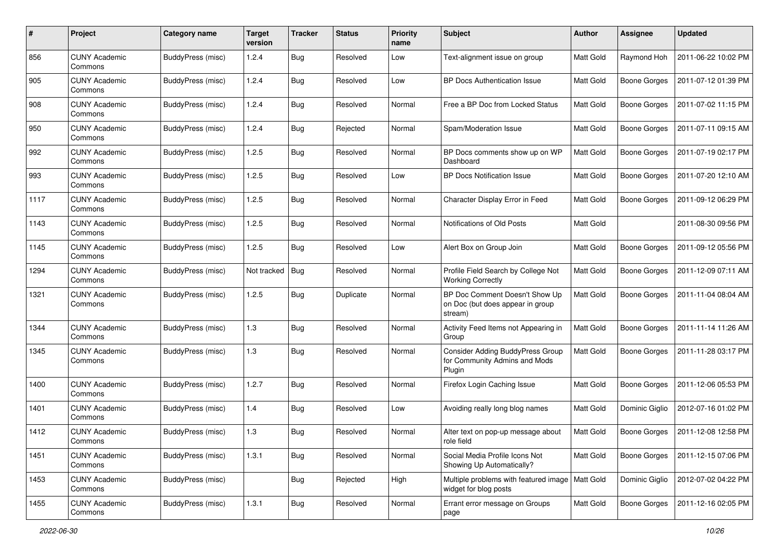| #    | Project                         | Category name     | <b>Target</b><br>version | <b>Tracker</b> | <b>Status</b> | <b>Priority</b><br>name | <b>Subject</b>                                                                     | Author           | Assignee            | <b>Updated</b>      |
|------|---------------------------------|-------------------|--------------------------|----------------|---------------|-------------------------|------------------------------------------------------------------------------------|------------------|---------------------|---------------------|
| 856  | <b>CUNY Academic</b><br>Commons | BuddyPress (misc) | 1.2.4                    | Bug            | Resolved      | Low                     | Text-alignment issue on group                                                      | <b>Matt Gold</b> | Raymond Hoh         | 2011-06-22 10:02 PM |
| 905  | <b>CUNY Academic</b><br>Commons | BuddyPress (misc) | 1.2.4                    | Bug            | Resolved      | Low                     | BP Docs Authentication Issue                                                       | Matt Gold        | <b>Boone Gorges</b> | 2011-07-12 01:39 PM |
| 908  | CUNY Academic<br>Commons        | BuddyPress (misc) | 1.2.4                    | Bug            | Resolved      | Normal                  | Free a BP Doc from Locked Status                                                   | Matt Gold        | <b>Boone Gorges</b> | 2011-07-02 11:15 PM |
| 950  | <b>CUNY Academic</b><br>Commons | BuddyPress (misc) | 1.2.4                    | Bug            | Rejected      | Normal                  | Spam/Moderation Issue                                                              | Matt Gold        | <b>Boone Gorges</b> | 2011-07-11 09:15 AM |
| 992  | <b>CUNY Academic</b><br>Commons | BuddyPress (misc) | 1.2.5                    | <b>Bug</b>     | Resolved      | Normal                  | BP Docs comments show up on WP<br>Dashboard                                        | <b>Matt Gold</b> | <b>Boone Gorges</b> | 2011-07-19 02:17 PM |
| 993  | <b>CUNY Academic</b><br>Commons | BuddyPress (misc) | 1.2.5                    | Bug            | Resolved      | Low                     | <b>BP Docs Notification Issue</b>                                                  | Matt Gold        | <b>Boone Gorges</b> | 2011-07-20 12:10 AM |
| 1117 | <b>CUNY Academic</b><br>Commons | BuddyPress (misc) | 1.2.5                    | Bug            | Resolved      | Normal                  | Character Display Error in Feed                                                    | Matt Gold        | <b>Boone Gorges</b> | 2011-09-12 06:29 PM |
| 1143 | <b>CUNY Academic</b><br>Commons | BuddyPress (misc) | 1.2.5                    | <b>Bug</b>     | Resolved      | Normal                  | Notifications of Old Posts                                                         | Matt Gold        |                     | 2011-08-30 09:56 PM |
| 1145 | <b>CUNY Academic</b><br>Commons | BuddyPress (misc) | 1.2.5                    | Bug            | Resolved      | Low                     | Alert Box on Group Join                                                            | Matt Gold        | <b>Boone Gorges</b> | 2011-09-12 05:56 PM |
| 1294 | <b>CUNY Academic</b><br>Commons | BuddyPress (misc) | Not tracked              | Bug            | Resolved      | Normal                  | Profile Field Search by College Not<br><b>Working Correctly</b>                    | Matt Gold        | <b>Boone Gorges</b> | 2011-12-09 07:11 AM |
| 1321 | <b>CUNY Academic</b><br>Commons | BuddyPress (misc) | 1.2.5                    | Bug            | Duplicate     | Normal                  | BP Doc Comment Doesn't Show Up<br>on Doc (but does appear in group<br>stream)      | Matt Gold        | <b>Boone Gorges</b> | 2011-11-04 08:04 AM |
| 1344 | <b>CUNY Academic</b><br>Commons | BuddyPress (misc) | 1.3                      | Bug            | Resolved      | Normal                  | Activity Feed Items not Appearing in<br>Group                                      | Matt Gold        | <b>Boone Gorges</b> | 2011-11-14 11:26 AM |
| 1345 | <b>CUNY Academic</b><br>Commons | BuddyPress (misc) | 1.3                      | Bug            | Resolved      | Normal                  | <b>Consider Adding BuddyPress Group</b><br>for Community Admins and Mods<br>Plugin | Matt Gold        | <b>Boone Gorges</b> | 2011-11-28 03:17 PM |
| 1400 | <b>CUNY Academic</b><br>Commons | BuddyPress (misc) | 1.2.7                    | Bug            | Resolved      | Normal                  | Firefox Login Caching Issue                                                        | Matt Gold        | <b>Boone Gorges</b> | 2011-12-06 05:53 PM |
| 1401 | <b>CUNY Academic</b><br>Commons | BuddyPress (misc) | 1.4                      | <b>Bug</b>     | Resolved      | Low                     | Avoiding really long blog names                                                    | Matt Gold        | Dominic Giglio      | 2012-07-16 01:02 PM |
| 1412 | <b>CUNY Academic</b><br>Commons | BuddyPress (misc) | 1.3                      | <b>Bug</b>     | Resolved      | Normal                  | Alter text on pop-up message about<br>role field                                   | Matt Gold        | <b>Boone Gorges</b> | 2011-12-08 12:58 PM |
| 1451 | <b>CUNY Academic</b><br>Commons | BuddyPress (misc) | 1.3.1                    | Bug            | Resolved      | Normal                  | Social Media Profile Icons Not<br>Showing Up Automatically?                        | Matt Gold        | Boone Gorges        | 2011-12-15 07:06 PM |
| 1453 | <b>CUNY Academic</b><br>Commons | BuddyPress (misc) |                          | Bug            | Rejected      | High                    | Multiple problems with featured image   Matt Gold<br>widget for blog posts         |                  | Dominic Giglio      | 2012-07-02 04:22 PM |
| 1455 | <b>CUNY Academic</b><br>Commons | BuddyPress (misc) | 1.3.1                    | <b>Bug</b>     | Resolved      | Normal                  | Errant error message on Groups<br>page                                             | Matt Gold        | <b>Boone Gorges</b> | 2011-12-16 02:05 PM |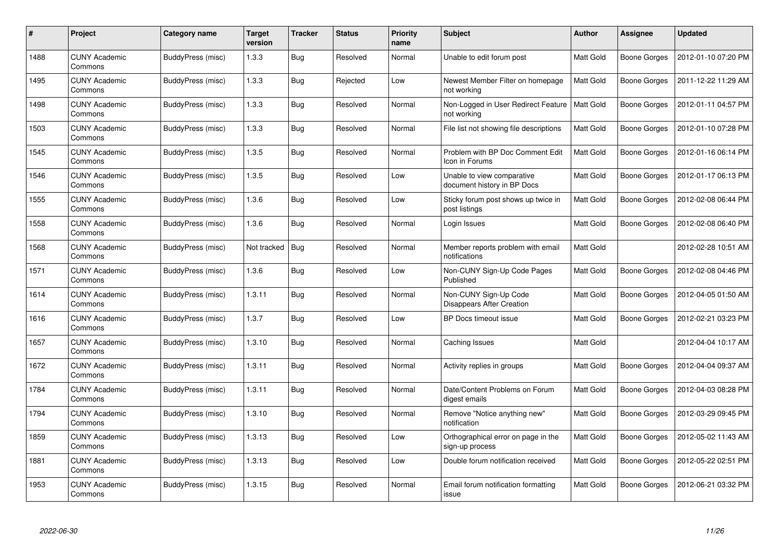| #    | Project                         | Category name            | <b>Target</b><br>version | <b>Tracker</b> | <b>Status</b> | <b>Priority</b><br>name | <b>Subject</b>                                            | Author    | <b>Assignee</b>     | <b>Updated</b>      |
|------|---------------------------------|--------------------------|--------------------------|----------------|---------------|-------------------------|-----------------------------------------------------------|-----------|---------------------|---------------------|
| 1488 | <b>CUNY Academic</b><br>Commons | BuddyPress (misc)        | 1.3.3                    | Bug            | Resolved      | Normal                  | Unable to edit forum post                                 | Matt Gold | <b>Boone Gorges</b> | 2012-01-10 07:20 PM |
| 1495 | <b>CUNY Academic</b><br>Commons | BuddyPress (misc)        | 1.3.3                    | Bug            | Rejected      | Low                     | Newest Member Filter on homepage<br>not working           | Matt Gold | <b>Boone Gorges</b> | 2011-12-22 11:29 AM |
| 1498 | <b>CUNY Academic</b><br>Commons | BuddyPress (misc)        | 1.3.3                    | Bug            | Resolved      | Normal                  | Non-Logged in User Redirect Feature<br>not working        | Matt Gold | <b>Boone Gorges</b> | 2012-01-11 04:57 PM |
| 1503 | <b>CUNY Academic</b><br>Commons | BuddyPress (misc)        | 1.3.3                    | <b>Bug</b>     | Resolved      | Normal                  | File list not showing file descriptions                   | Matt Gold | <b>Boone Gorges</b> | 2012-01-10 07:28 PM |
| 1545 | <b>CUNY Academic</b><br>Commons | BuddyPress (misc)        | 1.3.5                    | Bug            | Resolved      | Normal                  | Problem with BP Doc Comment Edit<br>Icon in Forums        | Matt Gold | <b>Boone Gorges</b> | 2012-01-16 06:14 PM |
| 1546 | <b>CUNY Academic</b><br>Commons | <b>BuddyPress (misc)</b> | 1.3.5                    | Bug            | Resolved      | Low                     | Unable to view comparative<br>document history in BP Docs | Matt Gold | <b>Boone Gorges</b> | 2012-01-17 06:13 PM |
| 1555 | <b>CUNY Academic</b><br>Commons | BuddyPress (misc)        | 1.3.6                    | Bug            | Resolved      | Low                     | Sticky forum post shows up twice in<br>post listings      | Matt Gold | <b>Boone Gorges</b> | 2012-02-08 06:44 PM |
| 1558 | <b>CUNY Academic</b><br>Commons | BuddyPress (misc)        | 1.3.6                    | Bug            | Resolved      | Normal                  | Login Issues                                              | Matt Gold | <b>Boone Gorges</b> | 2012-02-08 06:40 PM |
| 1568 | <b>CUNY Academic</b><br>Commons | BuddyPress (misc)        | Not tracked              | Bug            | Resolved      | Normal                  | Member reports problem with email<br>notifications        | Matt Gold |                     | 2012-02-28 10:51 AM |
| 1571 | <b>CUNY Academic</b><br>Commons | BuddyPress (misc)        | 1.3.6                    | Bug            | Resolved      | Low                     | Non-CUNY Sign-Up Code Pages<br>Published                  | Matt Gold | <b>Boone Gorges</b> | 2012-02-08 04:46 PM |
| 1614 | <b>CUNY Academic</b><br>Commons | BuddyPress (misc)        | 1.3.11                   | Bug            | Resolved      | Normal                  | Non-CUNY Sign-Up Code<br>Disappears After Creation        | Matt Gold | <b>Boone Gorges</b> | 2012-04-05 01:50 AM |
| 1616 | <b>CUNY Academic</b><br>Commons | BuddyPress (misc)        | 1.3.7                    | Bug            | Resolved      | Low                     | BP Docs timeout issue                                     | Matt Gold | <b>Boone Gorges</b> | 2012-02-21 03:23 PM |
| 1657 | <b>CUNY Academic</b><br>Commons | BuddyPress (misc)        | 1.3.10                   | <b>Bug</b>     | Resolved      | Normal                  | Caching Issues                                            | Matt Gold |                     | 2012-04-04 10:17 AM |
| 1672 | <b>CUNY Academic</b><br>Commons | BuddyPress (misc)        | 1.3.11                   | Bug            | Resolved      | Normal                  | Activity replies in groups                                | Matt Gold | <b>Boone Gorges</b> | 2012-04-04 09:37 AM |
| 1784 | <b>CUNY Academic</b><br>Commons | BuddyPress (misc)        | 1.3.11                   | <b>Bug</b>     | Resolved      | Normal                  | Date/Content Problems on Forum<br>digest emails           | Matt Gold | <b>Boone Gorges</b> | 2012-04-03 08:28 PM |
| 1794 | <b>CUNY Academic</b><br>Commons | BuddyPress (misc)        | 1.3.10                   | <b>Bug</b>     | Resolved      | Normal                  | Remove "Notice anything new"<br>notification              | Matt Gold | <b>Boone Gorges</b> | 2012-03-29 09:45 PM |
| 1859 | <b>CUNY Academic</b><br>Commons | BuddyPress (misc)        | 1.3.13                   | Bug            | Resolved      | Low                     | Orthographical error on page in the<br>sign-up process    | Matt Gold | <b>Boone Gorges</b> | 2012-05-02 11:43 AM |
| 1881 | <b>CUNY Academic</b><br>Commons | BuddyPress (misc)        | 1.3.13                   | Bug            | Resolved      | Low                     | Double forum notification received                        | Matt Gold | <b>Boone Gorges</b> | 2012-05-22 02:51 PM |
| 1953 | CUNY Academic<br>Commons        | BuddyPress (misc)        | 1.3.15                   | <b>Bug</b>     | Resolved      | Normal                  | Email forum notification formatting<br>issue              | Matt Gold | Boone Gorges        | 2012-06-21 03:32 PM |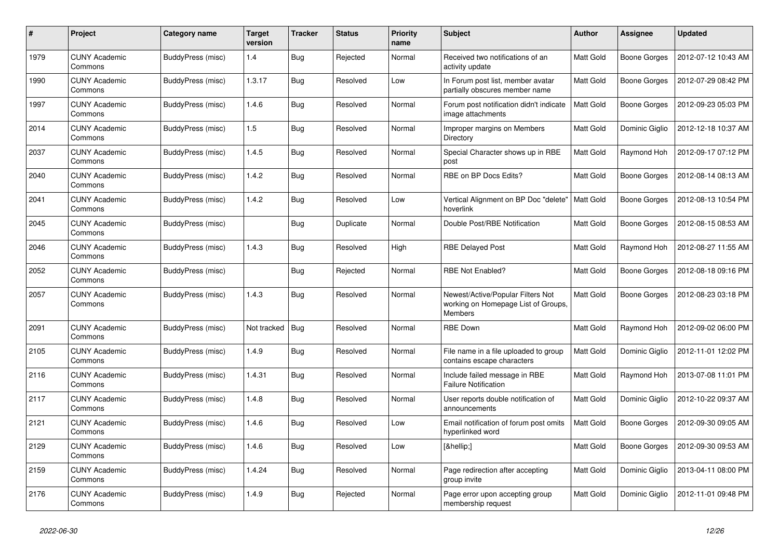| #    | Project                         | Category name            | <b>Target</b><br>version | <b>Tracker</b> | <b>Status</b> | <b>Priority</b><br>name | <b>Subject</b>                                                                      | <b>Author</b> | Assignee       | <b>Updated</b>      |
|------|---------------------------------|--------------------------|--------------------------|----------------|---------------|-------------------------|-------------------------------------------------------------------------------------|---------------|----------------|---------------------|
| 1979 | <b>CUNY Academic</b><br>Commons | BuddyPress (misc)        | 1.4                      | <b>Bug</b>     | Rejected      | Normal                  | Received two notifications of an<br>activity update                                 | Matt Gold     | Boone Gorges   | 2012-07-12 10:43 AM |
| 1990 | <b>CUNY Academic</b><br>Commons | BuddyPress (misc)        | 1.3.17                   | <b>Bug</b>     | Resolved      | Low                     | In Forum post list, member avatar<br>partially obscures member name                 | Matt Gold     | Boone Gorges   | 2012-07-29 08:42 PM |
| 1997 | <b>CUNY Academic</b><br>Commons | BuddyPress (misc)        | 1.4.6                    | <b>Bug</b>     | Resolved      | Normal                  | Forum post notification didn't indicate<br>image attachments                        | Matt Gold     | Boone Gorges   | 2012-09-23 05:03 PM |
| 2014 | <b>CUNY Academic</b><br>Commons | BuddyPress (misc)        | 1.5                      | <b>Bug</b>     | Resolved      | Normal                  | Improper margins on Members<br>Directory                                            | Matt Gold     | Dominic Giglio | 2012-12-18 10:37 AM |
| 2037 | <b>CUNY Academic</b><br>Commons | BuddyPress (misc)        | 1.4.5                    | Bug            | Resolved      | Normal                  | Special Character shows up in RBE<br>post                                           | Matt Gold     | Raymond Hoh    | 2012-09-17 07:12 PM |
| 2040 | <b>CUNY Academic</b><br>Commons | BuddyPress (misc)        | 1.4.2                    | <b>Bug</b>     | Resolved      | Normal                  | RBE on BP Docs Edits?                                                               | Matt Gold     | Boone Gorges   | 2012-08-14 08:13 AM |
| 2041 | <b>CUNY Academic</b><br>Commons | BuddyPress (misc)        | 1.4.2                    | <b>Bug</b>     | Resolved      | Low                     | Vertical Alignment on BP Doc "delete"<br>hoverlink                                  | Matt Gold     | Boone Gorges   | 2012-08-13 10:54 PM |
| 2045 | CUNY Academic<br>Commons        | BuddyPress (misc)        |                          | <b>Bug</b>     | Duplicate     | Normal                  | Double Post/RBE Notification                                                        | Matt Gold     | Boone Gorges   | 2012-08-15 08:53 AM |
| 2046 | <b>CUNY Academic</b><br>Commons | BuddyPress (misc)        | 1.4.3                    | <b>Bug</b>     | Resolved      | High                    | <b>RBE Delayed Post</b>                                                             | Matt Gold     | Raymond Hoh    | 2012-08-27 11:55 AM |
| 2052 | <b>CUNY Academic</b><br>Commons | BuddyPress (misc)        |                          | <b>Bug</b>     | Rejected      | Normal                  | <b>RBE Not Enabled?</b>                                                             | Matt Gold     | Boone Gorges   | 2012-08-18 09:16 PM |
| 2057 | CUNY Academic<br>Commons        | BuddyPress (misc)        | 1.4.3                    | <b>Bug</b>     | Resolved      | Normal                  | Newest/Active/Popular Filters Not<br>working on Homepage List of Groups,<br>Members | Matt Gold     | Boone Gorges   | 2012-08-23 03:18 PM |
| 2091 | <b>CUNY Academic</b><br>Commons | BuddyPress (misc)        | Not tracked              | Bug            | Resolved      | Normal                  | <b>RBE Down</b>                                                                     | Matt Gold     | Raymond Hoh    | 2012-09-02 06:00 PM |
| 2105 | <b>CUNY Academic</b><br>Commons | BuddyPress (misc)        | 1.4.9                    | <b>Bug</b>     | Resolved      | Normal                  | File name in a file uploaded to group<br>contains escape characters                 | Matt Gold     | Dominic Giglio | 2012-11-01 12:02 PM |
| 2116 | <b>CUNY Academic</b><br>Commons | BuddyPress (misc)        | 1.4.31                   | <b>Bug</b>     | Resolved      | Normal                  | Include failed message in RBE<br><b>Failure Notification</b>                        | Matt Gold     | Raymond Hoh    | 2013-07-08 11:01 PM |
| 2117 | <b>CUNY Academic</b><br>Commons | BuddyPress (misc)        | 1.4.8                    | <b>Bug</b>     | Resolved      | Normal                  | User reports double notification of<br>announcements                                | Matt Gold     | Dominic Giglio | 2012-10-22 09:37 AM |
| 2121 | <b>CUNY Academic</b><br>Commons | BuddyPress (misc)        | 1.4.6                    | <b>Bug</b>     | Resolved      | Low                     | Email notification of forum post omits<br>hyperlinked word                          | Matt Gold     | Boone Gorges   | 2012-09-30 09:05 AM |
| 2129 | <b>CUNY Academic</b><br>Commons | BuddyPress (misc)        | 1.4.6                    | Bug            | Resolved      | Low                     | […]                                                                                 | Matt Gold     | Boone Gorges   | 2012-09-30 09:53 AM |
| 2159 | <b>CUNY Academic</b><br>Commons | <b>BuddyPress (misc)</b> | 1.4.24                   | <b>Bug</b>     | Resolved      | Normal                  | Page redirection after accepting<br>group invite                                    | Matt Gold     | Dominic Giglio | 2013-04-11 08:00 PM |
| 2176 | <b>CUNY Academic</b><br>Commons | BuddyPress (misc)        | 1.4.9                    | <b>Bug</b>     | Rejected      | Normal                  | Page error upon accepting group<br>membership request                               | Matt Gold     | Dominic Giglio | 2012-11-01 09:48 PM |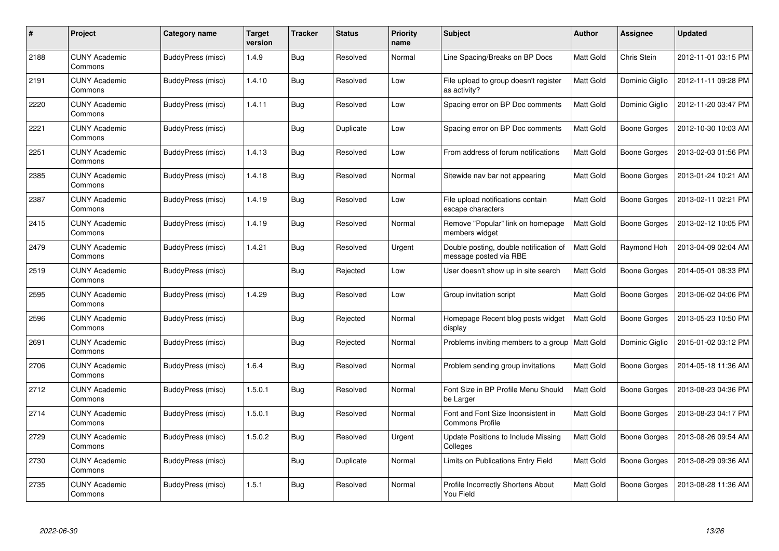| #    | Project                         | Category name            | <b>Target</b><br>version | <b>Tracker</b> | <b>Status</b> | <b>Priority</b><br>name | <b>Subject</b>                                                   | Author    | Assignee            | <b>Updated</b>      |
|------|---------------------------------|--------------------------|--------------------------|----------------|---------------|-------------------------|------------------------------------------------------------------|-----------|---------------------|---------------------|
| 2188 | <b>CUNY Academic</b><br>Commons | BuddyPress (misc)        | 1.4.9                    | <b>Bug</b>     | Resolved      | Normal                  | Line Spacing/Breaks on BP Docs                                   | Matt Gold | Chris Stein         | 2012-11-01 03:15 PM |
| 2191 | <b>CUNY Academic</b><br>Commons | BuddyPress (misc)        | 1.4.10                   | Bug            | Resolved      | Low                     | File upload to group doesn't register<br>as activity?            | Matt Gold | Dominic Giglio      | 2012-11-11 09:28 PM |
| 2220 | <b>CUNY Academic</b><br>Commons | BuddyPress (misc)        | 1.4.11                   | <b>Bug</b>     | Resolved      | Low                     | Spacing error on BP Doc comments                                 | Matt Gold | Dominic Giglio      | 2012-11-20 03:47 PM |
| 2221 | <b>CUNY Academic</b><br>Commons | <b>BuddyPress (misc)</b> |                          | <b>Bug</b>     | Duplicate     | Low                     | Spacing error on BP Doc comments                                 | Matt Gold | Boone Gorges        | 2012-10-30 10:03 AM |
| 2251 | <b>CUNY Academic</b><br>Commons | BuddyPress (misc)        | 1.4.13                   | <b>Bug</b>     | Resolved      | Low                     | From address of forum notifications                              | Matt Gold | Boone Gorges        | 2013-02-03 01:56 PM |
| 2385 | <b>CUNY Academic</b><br>Commons | <b>BuddyPress (misc)</b> | 1.4.18                   | Bug            | Resolved      | Normal                  | Sitewide nav bar not appearing                                   | Matt Gold | Boone Gorges        | 2013-01-24 10:21 AM |
| 2387 | <b>CUNY Academic</b><br>Commons | BuddyPress (misc)        | 1.4.19                   | <b>Bug</b>     | Resolved      | Low                     | File upload notifications contain<br>escape characters           | Matt Gold | Boone Gorges        | 2013-02-11 02:21 PM |
| 2415 | <b>CUNY Academic</b><br>Commons | BuddyPress (misc)        | 1.4.19                   | <b>Bug</b>     | Resolved      | Normal                  | Remove "Popular" link on homepage<br>members widget              | Matt Gold | <b>Boone Gorges</b> | 2013-02-12 10:05 PM |
| 2479 | <b>CUNY Academic</b><br>Commons | BuddyPress (misc)        | 1.4.21                   | Bug            | Resolved      | Urgent                  | Double posting, double notification of<br>message posted via RBE | Matt Gold | Raymond Hoh         | 2013-04-09 02:04 AM |
| 2519 | <b>CUNY Academic</b><br>Commons | BuddyPress (misc)        |                          | <b>Bug</b>     | Rejected      | Low                     | User doesn't show up in site search                              | Matt Gold | Boone Gorges        | 2014-05-01 08:33 PM |
| 2595 | <b>CUNY Academic</b><br>Commons | <b>BuddyPress (misc)</b> | 1.4.29                   | <b>Bug</b>     | Resolved      | Low                     | Group invitation script                                          | Matt Gold | Boone Gorges        | 2013-06-02 04:06 PM |
| 2596 | <b>CUNY Academic</b><br>Commons | BuddyPress (misc)        |                          | <b>Bug</b>     | Rejected      | Normal                  | Homepage Recent blog posts widget<br>display                     | Matt Gold | Boone Gorges        | 2013-05-23 10:50 PM |
| 2691 | <b>CUNY Academic</b><br>Commons | BuddyPress (misc)        |                          | Bug            | Rejected      | Normal                  | Problems inviting members to a group                             | Matt Gold | Dominic Giglio      | 2015-01-02 03:12 PM |
| 2706 | <b>CUNY Academic</b><br>Commons | BuddyPress (misc)        | 1.6.4                    | <b>Bug</b>     | Resolved      | Normal                  | Problem sending group invitations                                | Matt Gold | Boone Gorges        | 2014-05-18 11:36 AM |
| 2712 | <b>CUNY Academic</b><br>Commons | <b>BuddyPress (misc)</b> | 1.5.0.1                  | <b>Bug</b>     | Resolved      | Normal                  | Font Size in BP Profile Menu Should<br>be Larger                 | Matt Gold | Boone Gorges        | 2013-08-23 04:36 PM |
| 2714 | <b>CUNY Academic</b><br>Commons | <b>BuddyPress (misc)</b> | 1.5.0.1                  | <b>Bug</b>     | Resolved      | Normal                  | Font and Font Size Inconsistent in<br><b>Commons Profile</b>     | Matt Gold | Boone Gorges        | 2013-08-23 04:17 PM |
| 2729 | <b>CUNY Academic</b><br>Commons | BuddyPress (misc)        | 1.5.0.2                  | <b>Bug</b>     | Resolved      | Urgent                  | <b>Update Positions to Include Missing</b><br>Colleges           | Matt Gold | Boone Gorges        | 2013-08-26 09:54 AM |
| 2730 | <b>CUNY Academic</b><br>Commons | <b>BuddyPress (misc)</b> |                          | <b>Bug</b>     | Duplicate     | Normal                  | Limits on Publications Entry Field                               | Matt Gold | Boone Gorges        | 2013-08-29 09:36 AM |
| 2735 | <b>CUNY Academic</b><br>Commons | BuddyPress (misc)        | 1.5.1                    | <b>Bug</b>     | Resolved      | Normal                  | Profile Incorrectly Shortens About<br>You Field                  | Matt Gold | Boone Gorges        | 2013-08-28 11:36 AM |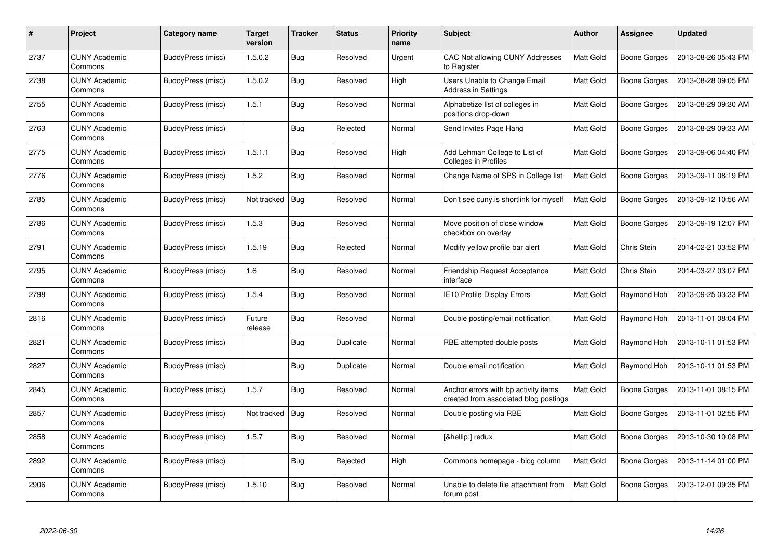| #    | <b>Project</b>                  | Category name            | <b>Target</b><br>version | <b>Tracker</b> | <b>Status</b> | <b>Priority</b><br>name | <b>Subject</b>                                                                | Author    | Assignee     | <b>Updated</b>      |
|------|---------------------------------|--------------------------|--------------------------|----------------|---------------|-------------------------|-------------------------------------------------------------------------------|-----------|--------------|---------------------|
| 2737 | <b>CUNY Academic</b><br>Commons | BuddyPress (misc)        | 1.5.0.2                  | <b>Bug</b>     | Resolved      | Urgent                  | CAC Not allowing CUNY Addresses<br>to Register                                | Matt Gold | Boone Gorges | 2013-08-26 05:43 PM |
| 2738 | <b>CUNY Academic</b><br>Commons | BuddyPress (misc)        | 1.5.0.2                  | <b>Bug</b>     | Resolved      | High                    | <b>Users Unable to Change Email</b><br>Address in Settings                    | Matt Gold | Boone Gorges | 2013-08-28 09:05 PM |
| 2755 | <b>CUNY Academic</b><br>Commons | BuddyPress (misc)        | 1.5.1                    | <b>Bug</b>     | Resolved      | Normal                  | Alphabetize list of colleges in<br>positions drop-down                        | Matt Gold | Boone Gorges | 2013-08-29 09:30 AM |
| 2763 | <b>CUNY Academic</b><br>Commons | BuddyPress (misc)        |                          | <b>Bug</b>     | Rejected      | Normal                  | Send Invites Page Hang                                                        | Matt Gold | Boone Gorges | 2013-08-29 09:33 AM |
| 2775 | <b>CUNY Academic</b><br>Commons | <b>BuddyPress (misc)</b> | 1.5.1.1                  | <b>Bug</b>     | Resolved      | High                    | Add Lehman College to List of<br><b>Colleges in Profiles</b>                  | Matt Gold | Boone Gorges | 2013-09-06 04:40 PM |
| 2776 | <b>CUNY Academic</b><br>Commons | BuddyPress (misc)        | 1.5.2                    | <b>Bug</b>     | Resolved      | Normal                  | Change Name of SPS in College list                                            | Matt Gold | Boone Gorges | 2013-09-11 08:19 PM |
| 2785 | <b>CUNY Academic</b><br>Commons | BuddyPress (misc)        | Not tracked              | <b>Bug</b>     | Resolved      | Normal                  | Don't see cuny is shortlink for myself                                        | Matt Gold | Boone Gorges | 2013-09-12 10:56 AM |
| 2786 | <b>CUNY Academic</b><br>Commons | BuddyPress (misc)        | 1.5.3                    | <b>Bug</b>     | Resolved      | Normal                  | Move position of close window<br>checkbox on overlay                          | Matt Gold | Boone Gorges | 2013-09-19 12:07 PM |
| 2791 | <b>CUNY Academic</b><br>Commons | <b>BuddyPress (misc)</b> | 1.5.19                   | <b>Bug</b>     | Rejected      | Normal                  | Modify yellow profile bar alert                                               | Matt Gold | Chris Stein  | 2014-02-21 03:52 PM |
| 2795 | <b>CUNY Academic</b><br>Commons | BuddyPress (misc)        | 1.6                      | Bug            | Resolved      | Normal                  | <b>Friendship Request Acceptance</b><br>interface                             | Matt Gold | Chris Stein  | 2014-03-27 03:07 PM |
| 2798 | <b>CUNY Academic</b><br>Commons | BuddyPress (misc)        | 1.5.4                    | Bug            | Resolved      | Normal                  | IE10 Profile Display Errors                                                   | Matt Gold | Raymond Hoh  | 2013-09-25 03:33 PM |
| 2816 | <b>CUNY Academic</b><br>Commons | BuddyPress (misc)        | Future<br>release        | <b>Bug</b>     | Resolved      | Normal                  | Double posting/email notification                                             | Matt Gold | Raymond Hoh  | 2013-11-01 08:04 PM |
| 2821 | <b>CUNY Academic</b><br>Commons | BuddyPress (misc)        |                          | <b>Bug</b>     | Duplicate     | Normal                  | RBE attempted double posts                                                    | Matt Gold | Raymond Hoh  | 2013-10-11 01:53 PM |
| 2827 | <b>CUNY Academic</b><br>Commons | <b>BuddyPress (misc)</b> |                          | <b>Bug</b>     | Duplicate     | Normal                  | Double email notification                                                     | Matt Gold | Raymond Hoh  | 2013-10-11 01:53 PM |
| 2845 | <b>CUNY Academic</b><br>Commons | BuddyPress (misc)        | 1.5.7                    | Bug            | Resolved      | Normal                  | Anchor errors with bp activity items<br>created from associated blog postings | Matt Gold | Boone Gorges | 2013-11-01 08:15 PM |
| 2857 | <b>CUNY Academic</b><br>Commons | BuddyPress (misc)        | Not tracked              | Bug            | Resolved      | Normal                  | Double posting via RBE                                                        | Matt Gold | Boone Gorges | 2013-11-01 02:55 PM |
| 2858 | <b>CUNY Academic</b><br>Commons | <b>BuddyPress (misc)</b> | 1.5.7                    | <b>Bug</b>     | Resolved      | Normal                  | […] redux                                                                     | Matt Gold | Boone Gorges | 2013-10-30 10:08 PM |
| 2892 | <b>CUNY Academic</b><br>Commons | BuddyPress (misc)        |                          | <b>Bug</b>     | Rejected      | High                    | Commons homepage - blog column                                                | Matt Gold | Boone Gorges | 2013-11-14 01:00 PM |
| 2906 | <b>CUNY Academic</b><br>Commons | BuddyPress (misc)        | 1.5.10                   | Bug            | Resolved      | Normal                  | Unable to delete file attachment from<br>forum post                           | Matt Gold | Boone Gorges | 2013-12-01 09:35 PM |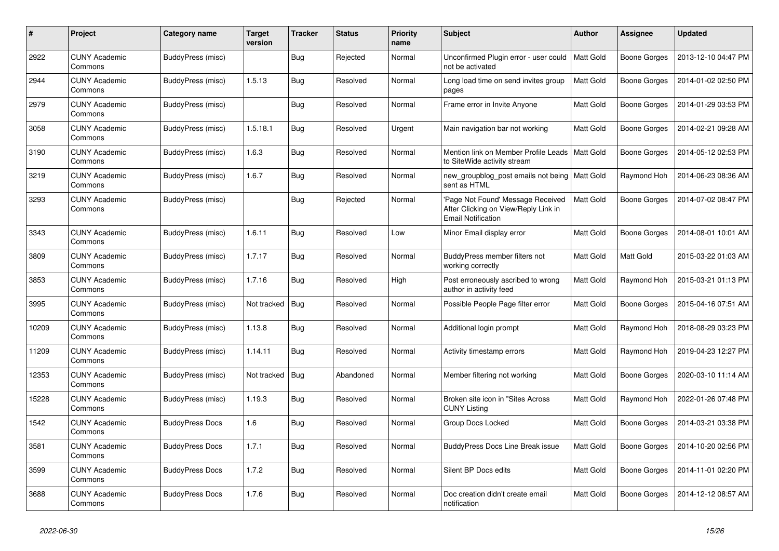| #     | Project                         | Category name            | <b>Target</b><br>version | <b>Tracker</b> | <b>Status</b> | <b>Priority</b><br>name | <b>Subject</b>                                                                                         | <b>Author</b> | Assignee     | <b>Updated</b>      |
|-------|---------------------------------|--------------------------|--------------------------|----------------|---------------|-------------------------|--------------------------------------------------------------------------------------------------------|---------------|--------------|---------------------|
| 2922  | <b>CUNY Academic</b><br>Commons | <b>BuddyPress (misc)</b> |                          | <b>Bug</b>     | Rejected      | Normal                  | Unconfirmed Plugin error - user could<br>not be activated                                              | Matt Gold     | Boone Gorges | 2013-12-10 04:47 PM |
| 2944  | <b>CUNY Academic</b><br>Commons | BuddyPress (misc)        | 1.5.13                   | Bug            | Resolved      | Normal                  | Long load time on send invites group<br>pages                                                          | Matt Gold     | Boone Gorges | 2014-01-02 02:50 PM |
| 2979  | <b>CUNY Academic</b><br>Commons | BuddyPress (misc)        |                          | <b>Bug</b>     | Resolved      | Normal                  | Frame error in Invite Anyone                                                                           | Matt Gold     | Boone Gorges | 2014-01-29 03:53 PM |
| 3058  | <b>CUNY Academic</b><br>Commons | BuddyPress (misc)        | 1.5.18.1                 | <b>Bug</b>     | Resolved      | Urgent                  | Main navigation bar not working                                                                        | Matt Gold     | Boone Gorges | 2014-02-21 09:28 AM |
| 3190  | <b>CUNY Academic</b><br>Commons | <b>BuddyPress (misc)</b> | 1.6.3                    | <b>Bug</b>     | Resolved      | Normal                  | Mention link on Member Profile Leads<br>to SiteWide activity stream                                    | Matt Gold     | Boone Gorges | 2014-05-12 02:53 PM |
| 3219  | <b>CUNY Academic</b><br>Commons | <b>BuddyPress (misc)</b> | 1.6.7                    | <b>Bug</b>     | Resolved      | Normal                  | new_groupblog_post emails not being<br>sent as HTML                                                    | Matt Gold     | Raymond Hoh  | 2014-06-23 08:36 AM |
| 3293  | <b>CUNY Academic</b><br>Commons | BuddyPress (misc)        |                          | <b>Bug</b>     | Rejected      | Normal                  | 'Page Not Found' Message Received<br>After Clicking on View/Reply Link in<br><b>Email Notification</b> | Matt Gold     | Boone Gorges | 2014-07-02 08:47 PM |
| 3343  | <b>CUNY Academic</b><br>Commons | BuddyPress (misc)        | 1.6.11                   | Bug            | Resolved      | Low                     | Minor Email display error                                                                              | Matt Gold     | Boone Gorges | 2014-08-01 10:01 AM |
| 3809  | <b>CUNY Academic</b><br>Commons | BuddyPress (misc)        | 1.7.17                   | Bug            | Resolved      | Normal                  | BuddyPress member filters not<br>working correctly                                                     | Matt Gold     | Matt Gold    | 2015-03-22 01:03 AM |
| 3853  | <b>CUNY Academic</b><br>Commons | BuddyPress (misc)        | 1.7.16                   | <b>Bug</b>     | Resolved      | High                    | Post erroneously ascribed to wrong<br>author in activity feed                                          | Matt Gold     | Raymond Hoh  | 2015-03-21 01:13 PM |
| 3995  | <b>CUNY Academic</b><br>Commons | BuddyPress (misc)        | Not tracked              | Bug            | Resolved      | Normal                  | Possible People Page filter error                                                                      | Matt Gold     | Boone Gorges | 2015-04-16 07:51 AM |
| 10209 | <b>CUNY Academic</b><br>Commons | <b>BuddyPress (misc)</b> | 1.13.8                   | <b>Bug</b>     | Resolved      | Normal                  | Additional login prompt                                                                                | Matt Gold     | Raymond Hoh  | 2018-08-29 03:23 PM |
| 11209 | <b>CUNY Academic</b><br>Commons | BuddyPress (misc)        | 1.14.11                  | <b>Bug</b>     | Resolved      | Normal                  | Activity timestamp errors                                                                              | Matt Gold     | Raymond Hoh  | 2019-04-23 12:27 PM |
| 12353 | <b>CUNY Academic</b><br>Commons | BuddyPress (misc)        | Not tracked              | Bug            | Abandoned     | Normal                  | Member filtering not working                                                                           | Matt Gold     | Boone Gorges | 2020-03-10 11:14 AM |
| 15228 | <b>CUNY Academic</b><br>Commons | BuddyPress (misc)        | 1.19.3                   | <b>Bug</b>     | Resolved      | Normal                  | Broken site icon in "Sites Across"<br><b>CUNY Listing</b>                                              | Matt Gold     | Raymond Hoh  | 2022-01-26 07:48 PM |
| 1542  | <b>CUNY Academic</b><br>Commons | <b>BuddyPress Docs</b>   | 1.6                      | <b>Bug</b>     | Resolved      | Normal                  | Group Docs Locked                                                                                      | Matt Gold     | Boone Gorges | 2014-03-21 03:38 PM |
| 3581  | <b>CUNY Academic</b><br>Commons | <b>BuddyPress Docs</b>   | 1.7.1                    | <b>Bug</b>     | Resolved      | Normal                  | <b>BuddyPress Docs Line Break issue</b>                                                                | Matt Gold     | Boone Gorges | 2014-10-20 02:56 PM |
| 3599  | <b>CUNY Academic</b><br>Commons | <b>BuddyPress Docs</b>   | 1.7.2                    | <b>Bug</b>     | Resolved      | Normal                  | Silent BP Docs edits                                                                                   | Matt Gold     | Boone Gorges | 2014-11-01 02:20 PM |
| 3688  | <b>CUNY Academic</b><br>Commons | <b>BuddyPress Docs</b>   | 1.7.6                    | <b>Bug</b>     | Resolved      | Normal                  | Doc creation didn't create email<br>notification                                                       | Matt Gold     | Boone Gorges | 2014-12-12 08:57 AM |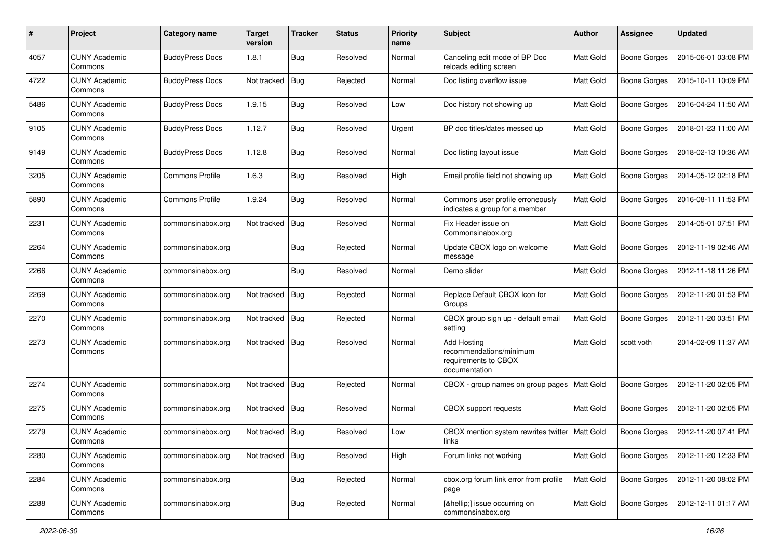| #    | Project                         | Category name          | <b>Target</b><br>version | <b>Tracker</b> | <b>Status</b> | <b>Priority</b><br>name | <b>Subject</b>                                                                         | <b>Author</b> | Assignee            | <b>Updated</b>      |
|------|---------------------------------|------------------------|--------------------------|----------------|---------------|-------------------------|----------------------------------------------------------------------------------------|---------------|---------------------|---------------------|
| 4057 | <b>CUNY Academic</b><br>Commons | <b>BuddyPress Docs</b> | 1.8.1                    | Bug            | Resolved      | Normal                  | Canceling edit mode of BP Doc<br>reloads editing screen                                | Matt Gold     | <b>Boone Gorges</b> | 2015-06-01 03:08 PM |
| 4722 | <b>CUNY Academic</b><br>Commons | <b>BuddyPress Docs</b> | Not tracked              | Bug            | Rejected      | Normal                  | Doc listing overflow issue                                                             | Matt Gold     | <b>Boone Gorges</b> | 2015-10-11 10:09 PM |
| 5486 | <b>CUNY Academic</b><br>Commons | <b>BuddyPress Docs</b> | 1.9.15                   | Bug            | Resolved      | Low                     | Doc history not showing up                                                             | Matt Gold     | <b>Boone Gorges</b> | 2016-04-24 11:50 AM |
| 9105 | <b>CUNY Academic</b><br>Commons | <b>BuddyPress Docs</b> | 1.12.7                   | Bug            | Resolved      | Urgent                  | BP doc titles/dates messed up                                                          | Matt Gold     | <b>Boone Gorges</b> | 2018-01-23 11:00 AM |
| 9149 | <b>CUNY Academic</b><br>Commons | <b>BuddyPress Docs</b> | 1.12.8                   | <b>Bug</b>     | Resolved      | Normal                  | Doc listing layout issue                                                               | Matt Gold     | <b>Boone Gorges</b> | 2018-02-13 10:36 AM |
| 3205 | <b>CUNY Academic</b><br>Commons | <b>Commons Profile</b> | 1.6.3                    | <b>Bug</b>     | Resolved      | High                    | Email profile field not showing up                                                     | Matt Gold     | <b>Boone Gorges</b> | 2014-05-12 02:18 PM |
| 5890 | <b>CUNY Academic</b><br>Commons | <b>Commons Profile</b> | 1.9.24                   | <b>Bug</b>     | Resolved      | Normal                  | Commons user profile erroneously<br>indicates a group for a member                     | Matt Gold     | <b>Boone Gorges</b> | 2016-08-11 11:53 PM |
| 2231 | <b>CUNY Academic</b><br>Commons | commonsinabox.org      | Not tracked              | <b>Bug</b>     | Resolved      | Normal                  | Fix Header issue on<br>Commonsinabox.org                                               | Matt Gold     | <b>Boone Gorges</b> | 2014-05-01 07:51 PM |
| 2264 | <b>CUNY Academic</b><br>Commons | commonsinabox.org      |                          | Bug            | Rejected      | Normal                  | Update CBOX logo on welcome<br>message                                                 | Matt Gold     | <b>Boone Gorges</b> | 2012-11-19 02:46 AM |
| 2266 | <b>CUNY Academic</b><br>Commons | commonsinabox.org      |                          | Bug            | Resolved      | Normal                  | Demo slider                                                                            | Matt Gold     | <b>Boone Gorges</b> | 2012-11-18 11:26 PM |
| 2269 | <b>CUNY Academic</b><br>Commons | commonsinabox.org      | Not tracked              | Bug            | Rejected      | Normal                  | Replace Default CBOX Icon for<br>Groups                                                | Matt Gold     | <b>Boone Gorges</b> | 2012-11-20 01:53 PM |
| 2270 | <b>CUNY Academic</b><br>Commons | commonsinabox.org      | Not tracked              | <b>Bug</b>     | Rejected      | Normal                  | CBOX group sign up - default email<br>setting                                          | Matt Gold     | <b>Boone Gorges</b> | 2012-11-20 03:51 PM |
| 2273 | <b>CUNY Academic</b><br>Commons | commonsinabox.org      | Not tracked   Bug        |                | Resolved      | Normal                  | <b>Add Hosting</b><br>recommendations/minimum<br>requirements to CBOX<br>documentation | Matt Gold     | scott voth          | 2014-02-09 11:37 AM |
| 2274 | <b>CUNY Academic</b><br>Commons | commonsinabox.org      | Not tracked              | Bug            | Rejected      | Normal                  | CBOX - group names on group pages                                                      | Matt Gold     | <b>Boone Gorges</b> | 2012-11-20 02:05 PM |
| 2275 | <b>CUNY Academic</b><br>Commons | commonsinabox.org      | Not tracked   Bug        |                | Resolved      | Normal                  | CBOX support requests                                                                  | Matt Gold     | <b>Boone Gorges</b> | 2012-11-20 02:05 PM |
| 2279 | <b>CUNY Academic</b><br>Commons | commonsinabox.org      | Not tracked   Bug        |                | Resolved      | Low                     | CBOX mention system rewrites twitter<br><b>IINKS</b>                                   | Matt Gold     | Boone Gorges        | 2012-11-20 07:41 PM |
| 2280 | <b>CUNY Academic</b><br>Commons | commonsinabox.org      | Not tracked   Bug        |                | Resolved      | High                    | Forum links not working                                                                | Matt Gold     | Boone Gorges        | 2012-11-20 12:33 PM |
| 2284 | <b>CUNY Academic</b><br>Commons | commonsinabox.org      |                          | Bug            | Rejected      | Normal                  | cbox.org forum link error from profile<br>page                                         | Matt Gold     | Boone Gorges        | 2012-11-20 08:02 PM |
| 2288 | <b>CUNY Academic</b><br>Commons | commonsinabox.org      |                          | <b>Bug</b>     | Rejected      | Normal                  | […] issue occurring on<br>commonsinabox.org                                            | Matt Gold     | Boone Gorges        | 2012-12-11 01:17 AM |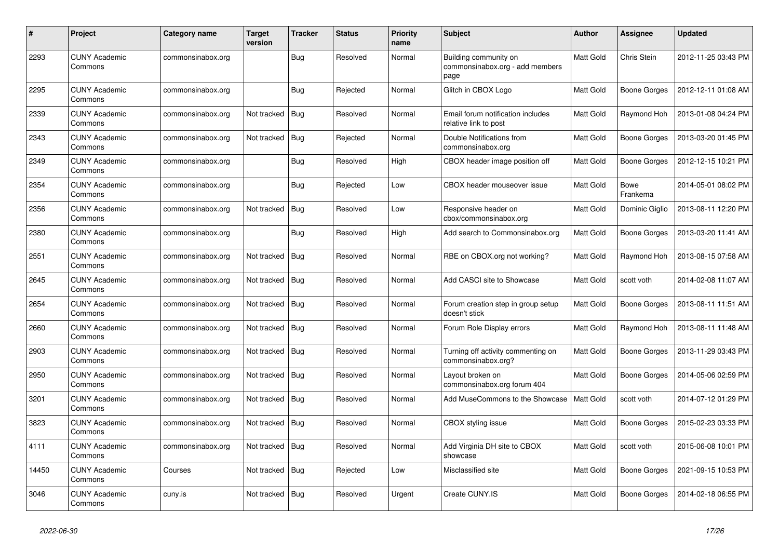| $\#$  | Project                         | Category name     | <b>Target</b><br>version | <b>Tracker</b> | <b>Status</b> | <b>Priority</b><br>name | <b>Subject</b>                                                   | <b>Author</b> | Assignee                | <b>Updated</b>      |
|-------|---------------------------------|-------------------|--------------------------|----------------|---------------|-------------------------|------------------------------------------------------------------|---------------|-------------------------|---------------------|
| 2293  | <b>CUNY Academic</b><br>Commons | commonsinabox.org |                          | <b>Bug</b>     | Resolved      | Normal                  | Building community on<br>commonsinabox.org - add members<br>page | Matt Gold     | Chris Stein             | 2012-11-25 03:43 PM |
| 2295  | <b>CUNY Academic</b><br>Commons | commonsinabox.org |                          | Bug            | Rejected      | Normal                  | Glitch in CBOX Logo                                              | Matt Gold     | Boone Gorges            | 2012-12-11 01:08 AM |
| 2339  | <b>CUNY Academic</b><br>Commons | commonsinabox.org | Not tracked              | Bug            | Resolved      | Normal                  | Email forum notification includes<br>relative link to post       | Matt Gold     | Raymond Hoh             | 2013-01-08 04:24 PM |
| 2343  | <b>CUNY Academic</b><br>Commons | commonsinabox.org | Not tracked              | <b>Bug</b>     | Rejected      | Normal                  | Double Notifications from<br>commonsinabox.org                   | Matt Gold     | <b>Boone Gorges</b>     | 2013-03-20 01:45 PM |
| 2349  | <b>CUNY Academic</b><br>Commons | commonsinabox.org |                          | Bug            | Resolved      | High                    | CBOX header image position off                                   | Matt Gold     | Boone Gorges            | 2012-12-15 10:21 PM |
| 2354  | <b>CUNY Academic</b><br>Commons | commonsinabox.org |                          | <b>Bug</b>     | Rejected      | Low                     | CBOX header mouseover issue                                      | Matt Gold     | <b>Bowe</b><br>Frankema | 2014-05-01 08:02 PM |
| 2356  | <b>CUNY Academic</b><br>Commons | commonsinabox.org | Not tracked              | Bug            | Resolved      | Low                     | Responsive header on<br>cbox/commonsinabox.org                   | Matt Gold     | Dominic Giglio          | 2013-08-11 12:20 PM |
| 2380  | <b>CUNY Academic</b><br>Commons | commonsinabox.org |                          | Bug            | Resolved      | High                    | Add search to Commonsinabox.org                                  | Matt Gold     | Boone Gorges            | 2013-03-20 11:41 AM |
| 2551  | <b>CUNY Academic</b><br>Commons | commonsinabox.org | Not tracked              | Bug            | Resolved      | Normal                  | RBE on CBOX.org not working?                                     | Matt Gold     | Raymond Hoh             | 2013-08-15 07:58 AM |
| 2645  | <b>CUNY Academic</b><br>Commons | commonsinabox.org | Not tracked              | Bug            | Resolved      | Normal                  | Add CASCI site to Showcase                                       | Matt Gold     | scott voth              | 2014-02-08 11:07 AM |
| 2654  | <b>CUNY Academic</b><br>Commons | commonsinabox.org | Not tracked              | Bug            | Resolved      | Normal                  | Forum creation step in group setup<br>doesn't stick              | Matt Gold     | Boone Gorges            | 2013-08-11 11:51 AM |
| 2660  | <b>CUNY Academic</b><br>Commons | commonsinabox.org | Not tracked              | Bug            | Resolved      | Normal                  | Forum Role Display errors                                        | Matt Gold     | Raymond Hoh             | 2013-08-11 11:48 AM |
| 2903  | <b>CUNY Academic</b><br>Commons | commonsinabox.org | Not tracked              | Bug            | Resolved      | Normal                  | Turning off activity commenting on<br>commonsinabox.org?         | Matt Gold     | <b>Boone Gorges</b>     | 2013-11-29 03:43 PM |
| 2950  | <b>CUNY Academic</b><br>Commons | commonsinabox.org | Not tracked              | Bug            | Resolved      | Normal                  | Layout broken on<br>commonsinabox.org forum 404                  | Matt Gold     | Boone Gorges            | 2014-05-06 02:59 PM |
| 3201  | <b>CUNY Academic</b><br>Commons | commonsinabox.org | Not tracked              | Bug            | Resolved      | Normal                  | Add MuseCommons to the Showcase                                  | Matt Gold     | scott voth              | 2014-07-12 01:29 PM |
| 3823  | <b>CUNY Academic</b><br>Commons | commonsinabox.org | Not tracked              | Bug            | Resolved      | Normal                  | CBOX styling issue                                               | Matt Gold     | <b>Boone Gorges</b>     | 2015-02-23 03:33 PM |
| 4111  | <b>CUNY Academic</b><br>Commons | commonsinabox.org | Not tracked              | Bug            | Resolved      | Normal                  | Add Virginia DH site to CBOX<br>showcase                         | Matt Gold     | scott voth              | 2015-06-08 10:01 PM |
| 14450 | <b>CUNY Academic</b><br>Commons | Courses           | Not tracked              | <b>Bug</b>     | Rejected      | Low                     | Misclassified site                                               | Matt Gold     | Boone Gorges            | 2021-09-15 10:53 PM |
| 3046  | <b>CUNY Academic</b><br>Commons | cuny.is           | Not tracked              | Bug            | Resolved      | Urgent                  | Create CUNY.IS                                                   | Matt Gold     | Boone Gorges            | 2014-02-18 06:55 PM |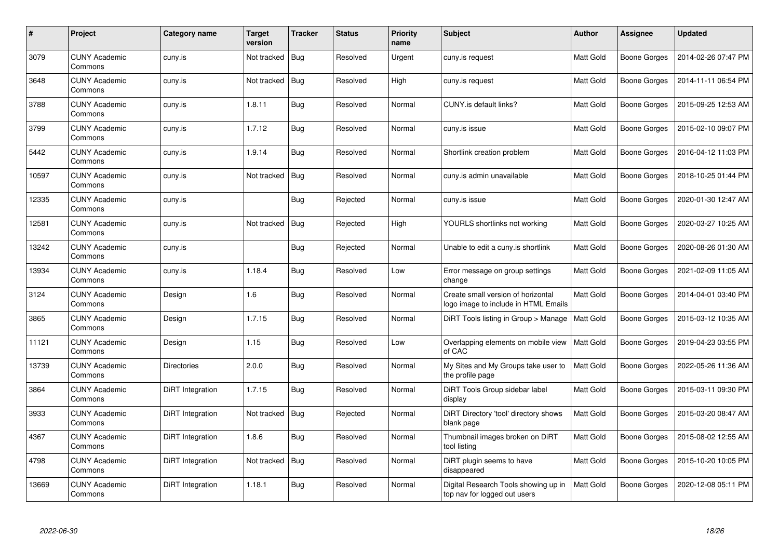| #     | Project                         | <b>Category name</b> | <b>Target</b><br>version | <b>Tracker</b> | <b>Status</b> | <b>Priority</b><br>name | <b>Subject</b>                                                             | <b>Author</b>    | <b>Assignee</b>     | <b>Updated</b>      |
|-------|---------------------------------|----------------------|--------------------------|----------------|---------------|-------------------------|----------------------------------------------------------------------------|------------------|---------------------|---------------------|
| 3079  | <b>CUNY Academic</b><br>Commons | cuny.is              | Not tracked              | Bug            | Resolved      | Urgent                  | cuny.is request                                                            | <b>Matt Gold</b> | <b>Boone Gorges</b> | 2014-02-26 07:47 PM |
| 3648  | <b>CUNY Academic</b><br>Commons | cuny.is              | Not tracked              | Bug            | Resolved      | High                    | cuny.is request                                                            | <b>Matt Gold</b> | Boone Gorges        | 2014-11-11 06:54 PM |
| 3788  | <b>CUNY Academic</b><br>Commons | cuny.is              | 1.8.11                   | Bug            | Resolved      | Normal                  | CUNY.is default links?                                                     | Matt Gold        | <b>Boone Gorges</b> | 2015-09-25 12:53 AM |
| 3799  | <b>CUNY Academic</b><br>Commons | cuny.is              | 1.7.12                   | Bug            | Resolved      | Normal                  | cuny.is issue                                                              | Matt Gold        | <b>Boone Gorges</b> | 2015-02-10 09:07 PM |
| 5442  | <b>CUNY Academic</b><br>Commons | cuny.is              | 1.9.14                   | <b>Bug</b>     | Resolved      | Normal                  | Shortlink creation problem                                                 | Matt Gold        | <b>Boone Gorges</b> | 2016-04-12 11:03 PM |
| 10597 | <b>CUNY Academic</b><br>Commons | cuny.is              | Not tracked              | Bug            | Resolved      | Normal                  | cuny.is admin unavailable                                                  | Matt Gold        | Boone Gorges        | 2018-10-25 01:44 PM |
| 12335 | <b>CUNY Academic</b><br>Commons | cuny.is              |                          | <b>Bug</b>     | Rejected      | Normal                  | cuny.is issue                                                              | Matt Gold        | <b>Boone Gorges</b> | 2020-01-30 12:47 AM |
| 12581 | <b>CUNY Academic</b><br>Commons | cuny.is              | Not tracked              | Bug            | Rejected      | High                    | YOURLS shortlinks not working                                              | Matt Gold        | Boone Gorges        | 2020-03-27 10:25 AM |
| 13242 | <b>CUNY Academic</b><br>Commons | cuny.is              |                          | <b>Bug</b>     | Rejected      | Normal                  | Unable to edit a cuny is shortlink                                         | Matt Gold        | Boone Gorges        | 2020-08-26 01:30 AM |
| 13934 | <b>CUNY Academic</b><br>Commons | cuny.is              | 1.18.4                   | Bug            | Resolved      | Low                     | Error message on group settings<br>change                                  | Matt Gold        | Boone Gorges        | 2021-02-09 11:05 AM |
| 3124  | <b>CUNY Academic</b><br>Commons | Design               | 1.6                      | Bug            | Resolved      | Normal                  | Create small version of horizontal<br>logo image to include in HTML Emails | Matt Gold        | <b>Boone Gorges</b> | 2014-04-01 03:40 PM |
| 3865  | <b>CUNY Academic</b><br>Commons | Design               | 1.7.15                   | Bug            | Resolved      | Normal                  | DiRT Tools listing in Group > Manage                                       | Matt Gold        | <b>Boone Gorges</b> | 2015-03-12 10:35 AM |
| 11121 | <b>CUNY Academic</b><br>Commons | Design               | 1.15                     | Bug            | Resolved      | Low                     | Overlapping elements on mobile view<br>of CAC                              | Matt Gold        | <b>Boone Gorges</b> | 2019-04-23 03:55 PM |
| 13739 | <b>CUNY Academic</b><br>Commons | <b>Directories</b>   | 2.0.0                    | Bug            | Resolved      | Normal                  | My Sites and My Groups take user to<br>the profile page                    | Matt Gold        | Boone Gorges        | 2022-05-26 11:36 AM |
| 3864  | <b>CUNY Academic</b><br>Commons | DiRT Integration     | 1.7.15                   | Bug            | Resolved      | Normal                  | DiRT Tools Group sidebar label<br>display                                  | Matt Gold        | <b>Boone Gorges</b> | 2015-03-11 09:30 PM |
| 3933  | <b>CUNY Academic</b><br>Commons | DiRT Integration     | Not tracked   Bug        |                | Rejected      | Normal                  | DiRT Directory 'tool' directory shows<br>blank page                        | Matt Gold        | Boone Gorges        | 2015-03-20 08:47 AM |
| 4367  | <b>CUNY Academic</b><br>Commons | DiRT Integration     | 1.8.6                    | <b>Bug</b>     | Resolved      | Normal                  | Thumbnail images broken on DiRT<br>tool listing                            | Matt Gold        | <b>Boone Gorges</b> | 2015-08-02 12:55 AM |
| 4798  | <b>CUNY Academic</b><br>Commons | DiRT Integration     | Not tracked              | Bug            | Resolved      | Normal                  | DiRT plugin seems to have<br>disappeared                                   | Matt Gold        | Boone Gorges        | 2015-10-20 10:05 PM |
| 13669 | <b>CUNY Academic</b><br>Commons | DiRT Integration     | 1.18.1                   | <b>Bug</b>     | Resolved      | Normal                  | Digital Research Tools showing up in<br>top nav for logged out users       | Matt Gold        | <b>Boone Gorges</b> | 2020-12-08 05:11 PM |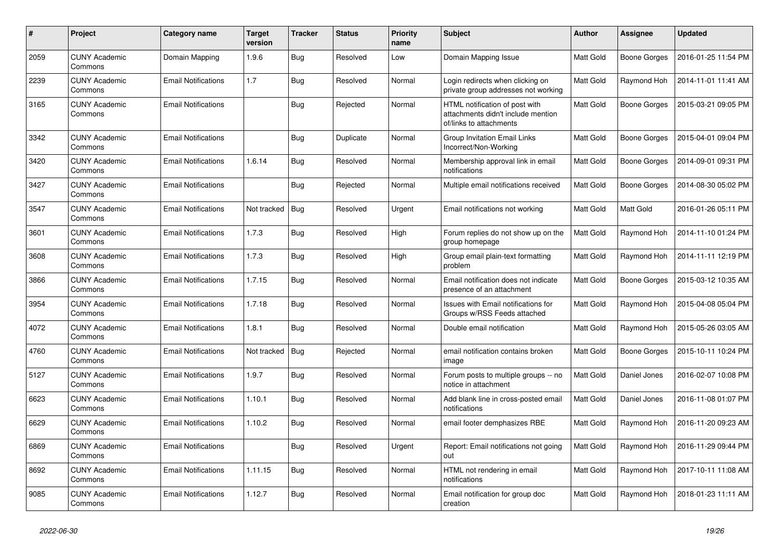| $\pmb{\#}$ | Project                         | Category name              | <b>Target</b><br>version | <b>Tracker</b> | <b>Status</b> | <b>Priority</b><br>name | <b>Subject</b>                                                                                  | <b>Author</b> | Assignee            | <b>Updated</b>      |
|------------|---------------------------------|----------------------------|--------------------------|----------------|---------------|-------------------------|-------------------------------------------------------------------------------------------------|---------------|---------------------|---------------------|
| 2059       | <b>CUNY Academic</b><br>Commons | Domain Mapping             | 1.9.6                    | <b>Bug</b>     | Resolved      | Low                     | Domain Mapping Issue                                                                            | Matt Gold     | Boone Gorges        | 2016-01-25 11:54 PM |
| 2239       | <b>CUNY Academic</b><br>Commons | <b>Email Notifications</b> | 1.7                      | <b>Bug</b>     | Resolved      | Normal                  | Login redirects when clicking on<br>private group addresses not working                         | Matt Gold     | Raymond Hoh         | 2014-11-01 11:41 AM |
| 3165       | <b>CUNY Academic</b><br>Commons | <b>Email Notifications</b> |                          | Bug            | Rejected      | Normal                  | HTML notification of post with<br>attachments didn't include mention<br>of/links to attachments | Matt Gold     | Boone Gorges        | 2015-03-21 09:05 PM |
| 3342       | <b>CUNY Academic</b><br>Commons | <b>Email Notifications</b> |                          | <b>Bug</b>     | Duplicate     | Normal                  | Group Invitation Email Links<br>Incorrect/Non-Working                                           | Matt Gold     | Boone Gorges        | 2015-04-01 09:04 PM |
| 3420       | <b>CUNY Academic</b><br>Commons | <b>Email Notifications</b> | 1.6.14                   | Bug            | Resolved      | Normal                  | Membership approval link in email<br>notifications                                              | Matt Gold     | Boone Gorges        | 2014-09-01 09:31 PM |
| 3427       | <b>CUNY Academic</b><br>Commons | <b>Email Notifications</b> |                          | <b>Bug</b>     | Rejected      | Normal                  | Multiple email notifications received                                                           | Matt Gold     | Boone Gorges        | 2014-08-30 05:02 PM |
| 3547       | <b>CUNY Academic</b><br>Commons | <b>Email Notifications</b> | Not tracked              | Bug            | Resolved      | Urgent                  | Email notifications not working                                                                 | Matt Gold     | <b>Matt Gold</b>    | 2016-01-26 05:11 PM |
| 3601       | <b>CUNY Academic</b><br>Commons | <b>Email Notifications</b> | 1.7.3                    | Bug            | Resolved      | High                    | Forum replies do not show up on the<br>group homepage                                           | Matt Gold     | Raymond Hoh         | 2014-11-10 01:24 PM |
| 3608       | <b>CUNY Academic</b><br>Commons | <b>Email Notifications</b> | 1.7.3                    | <b>Bug</b>     | Resolved      | High                    | Group email plain-text formatting<br>problem                                                    | Matt Gold     | Raymond Hoh         | 2014-11-11 12:19 PM |
| 3866       | <b>CUNY Academic</b><br>Commons | <b>Email Notifications</b> | 1.7.15                   | Bug            | Resolved      | Normal                  | Email notification does not indicate<br>presence of an attachment                               | Matt Gold     | Boone Gorges        | 2015-03-12 10:35 AM |
| 3954       | <b>CUNY Academic</b><br>Commons | <b>Email Notifications</b> | 1.7.18                   | Bug            | Resolved      | Normal                  | Issues with Email notifications for<br>Groups w/RSS Feeds attached                              | Matt Gold     | Raymond Hoh         | 2015-04-08 05:04 PM |
| 4072       | <b>CUNY Academic</b><br>Commons | <b>Email Notifications</b> | 1.8.1                    | Bug            | Resolved      | Normal                  | Double email notification                                                                       | Matt Gold     | Raymond Hoh         | 2015-05-26 03:05 AM |
| 4760       | <b>CUNY Academic</b><br>Commons | <b>Email Notifications</b> | Not tracked              | Bug            | Rejected      | Normal                  | email notification contains broken<br>image                                                     | Matt Gold     | <b>Boone Gorges</b> | 2015-10-11 10:24 PM |
| 5127       | <b>CUNY Academic</b><br>Commons | <b>Email Notifications</b> | 1.9.7                    | <b>Bug</b>     | Resolved      | Normal                  | Forum posts to multiple groups -- no<br>notice in attachment                                    | Matt Gold     | Daniel Jones        | 2016-02-07 10:08 PM |
| 6623       | <b>CUNY Academic</b><br>Commons | <b>Email Notifications</b> | 1.10.1                   | Bug            | Resolved      | Normal                  | Add blank line in cross-posted email<br>notifications                                           | Matt Gold     | Daniel Jones        | 2016-11-08 01:07 PM |
| 6629       | <b>CUNY Academic</b><br>Commons | <b>Email Notifications</b> | 1.10.2                   | Bug            | Resolved      | Normal                  | email footer demphasizes RBE                                                                    | Matt Gold     | Raymond Hoh         | 2016-11-20 09:23 AM |
| 6869       | <b>CUNY Academic</b><br>Commons | <b>Email Notifications</b> |                          | <b>Bug</b>     | Resolved      | Urgent                  | Report: Email notifications not going<br>out                                                    | Matt Gold     | Raymond Hoh         | 2016-11-29 09:44 PM |
| 8692       | <b>CUNY Academic</b><br>Commons | <b>Email Notifications</b> | 1.11.15                  | Bug            | Resolved      | Normal                  | HTML not rendering in email<br>notifications                                                    | Matt Gold     | Raymond Hoh         | 2017-10-11 11:08 AM |
| 9085       | <b>CUNY Academic</b><br>Commons | <b>Email Notifications</b> | 1.12.7                   | <b>Bug</b>     | Resolved      | Normal                  | Email notification for group doc<br>creation                                                    | Matt Gold     | Raymond Hoh         | 2018-01-23 11:11 AM |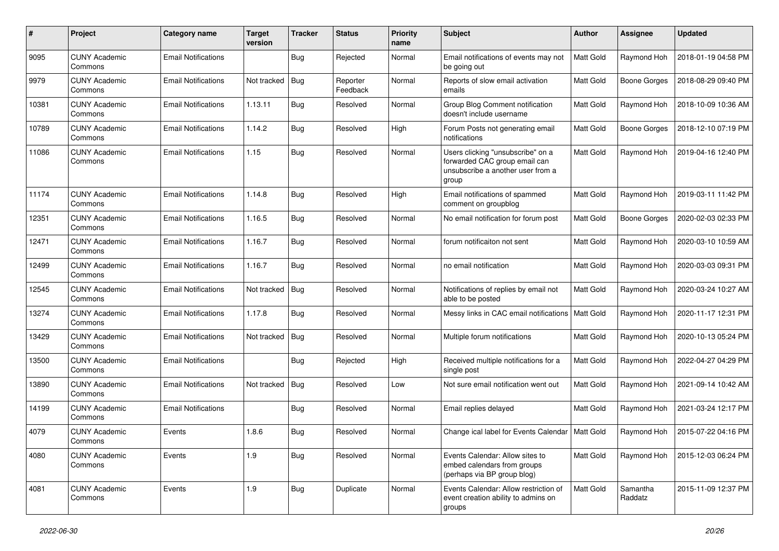| #     | Project                         | <b>Category name</b>       | <b>Target</b><br>version | <b>Tracker</b> | <b>Status</b>        | <b>Priority</b><br>name | Subject                                                                                                          | <b>Author</b> | Assignee            | <b>Updated</b>      |
|-------|---------------------------------|----------------------------|--------------------------|----------------|----------------------|-------------------------|------------------------------------------------------------------------------------------------------------------|---------------|---------------------|---------------------|
| 9095  | <b>CUNY Academic</b><br>Commons | <b>Email Notifications</b> |                          | <b>Bug</b>     | Rejected             | Normal                  | Email notifications of events may not<br>be going out                                                            | Matt Gold     | Raymond Hoh         | 2018-01-19 04:58 PM |
| 9979  | <b>CUNY Academic</b><br>Commons | <b>Email Notifications</b> | Not tracked              | <b>Bug</b>     | Reporter<br>Feedback | Normal                  | Reports of slow email activation<br>emails                                                                       | Matt Gold     | <b>Boone Gorges</b> | 2018-08-29 09:40 PM |
| 10381 | <b>CUNY Academic</b><br>Commons | <b>Email Notifications</b> | 1.13.11                  | Bug            | Resolved             | Normal                  | Group Blog Comment notification<br>doesn't include username                                                      | Matt Gold     | Raymond Hoh         | 2018-10-09 10:36 AM |
| 10789 | <b>CUNY Academic</b><br>Commons | <b>Email Notifications</b> | 1.14.2                   | <b>Bug</b>     | Resolved             | High                    | Forum Posts not generating email<br>notifications                                                                | Matt Gold     | <b>Boone Gorges</b> | 2018-12-10 07:19 PM |
| 11086 | <b>CUNY Academic</b><br>Commons | <b>Email Notifications</b> | 1.15                     | <b>Bug</b>     | Resolved             | Normal                  | Users clicking "unsubscribe" on a<br>forwarded CAC group email can<br>unsubscribe a another user from a<br>group | Matt Gold     | Raymond Hoh         | 2019-04-16 12:40 PM |
| 11174 | <b>CUNY Academic</b><br>Commons | <b>Email Notifications</b> | 1.14.8                   | Bug            | Resolved             | High                    | Email notifications of spammed<br>comment on groupblog                                                           | Matt Gold     | Raymond Hoh         | 2019-03-11 11:42 PM |
| 12351 | <b>CUNY Academic</b><br>Commons | <b>Email Notifications</b> | 1.16.5                   | <b>Bug</b>     | Resolved             | Normal                  | No email notification for forum post                                                                             | Matt Gold     | <b>Boone Gorges</b> | 2020-02-03 02:33 PM |
| 12471 | <b>CUNY Academic</b><br>Commons | <b>Email Notifications</b> | 1.16.7                   | Bug            | Resolved             | Normal                  | forum notificaiton not sent                                                                                      | Matt Gold     | Raymond Hoh         | 2020-03-10 10:59 AM |
| 12499 | <b>CUNY Academic</b><br>Commons | <b>Email Notifications</b> | 1.16.7                   | <b>Bug</b>     | Resolved             | Normal                  | no email notification                                                                                            | Matt Gold     | Raymond Hoh         | 2020-03-03 09:31 PM |
| 12545 | <b>CUNY Academic</b><br>Commons | <b>Email Notifications</b> | Not tracked              | Bug            | Resolved             | Normal                  | Notifications of replies by email not<br>able to be posted                                                       | Matt Gold     | Raymond Hoh         | 2020-03-24 10:27 AM |
| 13274 | <b>CUNY Academic</b><br>Commons | <b>Email Notifications</b> | 1.17.8                   | <b>Bug</b>     | Resolved             | Normal                  | Messy links in CAC email notifications                                                                           | Matt Gold     | Raymond Hoh         | 2020-11-17 12:31 PM |
| 13429 | <b>CUNY Academic</b><br>Commons | <b>Email Notifications</b> | Not tracked              | <b>Bug</b>     | Resolved             | Normal                  | Multiple forum notifications                                                                                     | Matt Gold     | Raymond Hoh         | 2020-10-13 05:24 PM |
| 13500 | <b>CUNY Academic</b><br>Commons | <b>Email Notifications</b> |                          | Bug            | Rejected             | High                    | Received multiple notifications for a<br>single post                                                             | Matt Gold     | Raymond Hoh         | 2022-04-27 04:29 PM |
| 13890 | <b>CUNY Academic</b><br>Commons | <b>Email Notifications</b> | Not tracked              | <b>Bug</b>     | Resolved             | Low                     | Not sure email notification went out                                                                             | Matt Gold     | Raymond Hoh         | 2021-09-14 10:42 AM |
| 14199 | <b>CUNY Academic</b><br>Commons | <b>Email Notifications</b> |                          | <b>Bug</b>     | Resolved             | Normal                  | Email replies delayed                                                                                            | Matt Gold     | Raymond Hoh         | 2021-03-24 12:17 PM |
| 4079  | <b>CUNY Academic</b><br>Commons | Events                     | 1.8.6                    | Bug            | Resolved             | Normal                  | Change ical label for Events Calendar                                                                            | Matt Gold     | Raymond Hoh         | 2015-07-22 04:16 PM |
| 4080  | <b>CUNY Academic</b><br>Commons | Events                     | 1.9                      | Bug            | Resolved             | Normal                  | Events Calendar: Allow sites to<br>embed calendars from groups<br>(perhaps via BP group blog)                    | Matt Gold     | Raymond Hoh         | 2015-12-03 06:24 PM |
| 4081  | <b>CUNY Academic</b><br>Commons | Events                     | 1.9                      | <b>Bug</b>     | Duplicate            | Normal                  | Events Calendar: Allow restriction of<br>event creation ability to admins on<br>groups                           | Matt Gold     | Samantha<br>Raddatz | 2015-11-09 12:37 PM |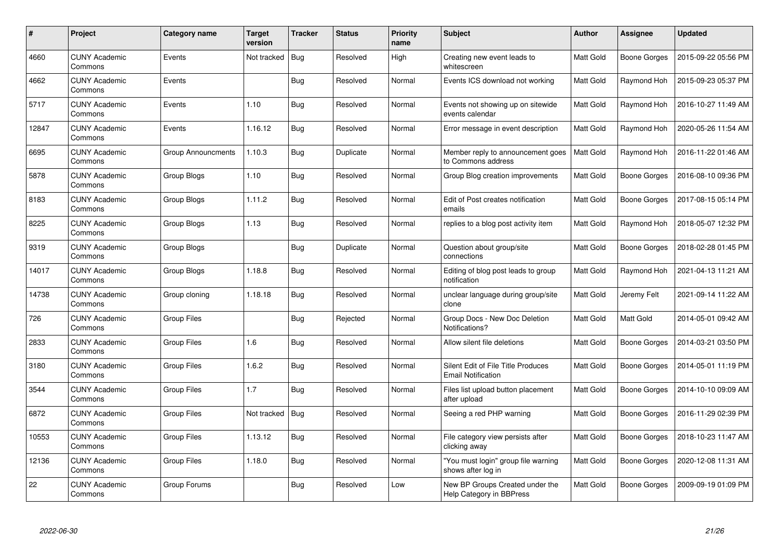| $\#$  | <b>Project</b>                  | Category name      | <b>Target</b><br>version | <b>Tracker</b> | <b>Status</b> | <b>Priority</b><br>name | <b>Subject</b>                                                  | Author    | Assignee            | <b>Updated</b>      |
|-------|---------------------------------|--------------------|--------------------------|----------------|---------------|-------------------------|-----------------------------------------------------------------|-----------|---------------------|---------------------|
| 4660  | <b>CUNY Academic</b><br>Commons | Events             | Not tracked              | Bug            | Resolved      | High                    | Creating new event leads to<br>whitescreen                      | Matt Gold | <b>Boone Gorges</b> | 2015-09-22 05:56 PM |
| 4662  | <b>CUNY Academic</b><br>Commons | Events             |                          | Bug            | Resolved      | Normal                  | Events ICS download not working                                 | Matt Gold | Raymond Hoh         | 2015-09-23 05:37 PM |
| 5717  | <b>CUNY Academic</b><br>Commons | Events             | 1.10                     | Bug            | Resolved      | Normal                  | Events not showing up on sitewide<br>events calendar            | Matt Gold | Raymond Hoh         | 2016-10-27 11:49 AM |
| 12847 | <b>CUNY Academic</b><br>Commons | Events             | 1.16.12                  | <b>Bug</b>     | Resolved      | Normal                  | Error message in event description                              | Matt Gold | Raymond Hoh         | 2020-05-26 11:54 AM |
| 6695  | <b>CUNY Academic</b><br>Commons | Group Announcments | 1.10.3                   | Bug            | Duplicate     | Normal                  | Member reply to announcement goes<br>to Commons address         | Matt Gold | Raymond Hoh         | 2016-11-22 01:46 AM |
| 5878  | <b>CUNY Academic</b><br>Commons | Group Blogs        | 1.10                     | Bug            | Resolved      | Normal                  | Group Blog creation improvements                                | Matt Gold | Boone Gorges        | 2016-08-10 09:36 PM |
| 8183  | <b>CUNY Academic</b><br>Commons | Group Blogs        | 1.11.2                   | Bug            | Resolved      | Normal                  | Edit of Post creates notification<br>emails                     | Matt Gold | Boone Gorges        | 2017-08-15 05:14 PM |
| 8225  | <b>CUNY Academic</b><br>Commons | Group Blogs        | 1.13                     | Bug            | Resolved      | Normal                  | replies to a blog post activity item                            | Matt Gold | Raymond Hoh         | 2018-05-07 12:32 PM |
| 9319  | <b>CUNY Academic</b><br>Commons | Group Blogs        |                          | Bug            | Duplicate     | Normal                  | Question about group/site<br>connections                        | Matt Gold | <b>Boone Gorges</b> | 2018-02-28 01:45 PM |
| 14017 | <b>CUNY Academic</b><br>Commons | Group Blogs        | 1.18.8                   | Bug            | Resolved      | Normal                  | Editing of blog post leads to group<br>notification             | Matt Gold | Raymond Hoh         | 2021-04-13 11:21 AM |
| 14738 | <b>CUNY Academic</b><br>Commons | Group cloning      | 1.18.18                  | Bug            | Resolved      | Normal                  | unclear language during group/site<br>clone                     | Matt Gold | Jeremy Felt         | 2021-09-14 11:22 AM |
| 726   | <b>CUNY Academic</b><br>Commons | Group Files        |                          | <b>Bug</b>     | Rejected      | Normal                  | Group Docs - New Doc Deletion<br>Notifications?                 | Matt Gold | Matt Gold           | 2014-05-01 09:42 AM |
| 2833  | <b>CUNY Academic</b><br>Commons | <b>Group Files</b> | 1.6                      | Bug            | Resolved      | Normal                  | Allow silent file deletions                                     | Matt Gold | Boone Gorges        | 2014-03-21 03:50 PM |
| 3180  | <b>CUNY Academic</b><br>Commons | Group Files        | 1.6.2                    | Bug            | Resolved      | Normal                  | Silent Edit of File Title Produces<br><b>Email Notification</b> | Matt Gold | Boone Gorges        | 2014-05-01 11:19 PM |
| 3544  | <b>CUNY Academic</b><br>Commons | Group Files        | 1.7                      | <b>Bug</b>     | Resolved      | Normal                  | Files list upload button placement<br>after upload              | Matt Gold | Boone Gorges        | 2014-10-10 09:09 AM |
| 6872  | <b>CUNY Academic</b><br>Commons | <b>Group Files</b> | Not tracked              | Bug            | Resolved      | Normal                  | Seeing a red PHP warning                                        | Matt Gold | Boone Gorges        | 2016-11-29 02:39 PM |
| 10553 | <b>CUNY Academic</b><br>Commons | Group Files        | 1.13.12                  | Bug            | Resolved      | Normal                  | File category view persists after<br>clicking away              | Matt Gold | Boone Gorges        | 2018-10-23 11:47 AM |
| 12136 | <b>CUNY Academic</b><br>Commons | <b>Group Files</b> | 1.18.0                   | Bug            | Resolved      | Normal                  | "You must login" group file warning<br>shows after log in       | Matt Gold | Boone Gorges        | 2020-12-08 11:31 AM |
| 22    | <b>CUNY Academic</b><br>Commons | Group Forums       |                          | <b>Bug</b>     | Resolved      | Low                     | New BP Groups Created under the<br>Help Category in BBPress     | Matt Gold | Boone Gorges        | 2009-09-19 01:09 PM |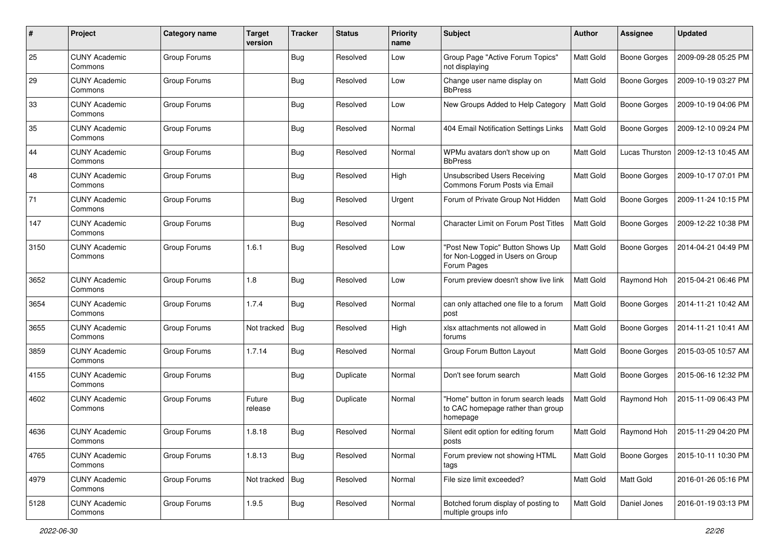| #    | Project                         | <b>Category name</b> | <b>Target</b><br>version | <b>Tracker</b> | <b>Status</b> | <b>Priority</b><br>name | <b>Subject</b>                                                                       | <b>Author</b> | <b>Assignee</b>       | <b>Updated</b>      |
|------|---------------------------------|----------------------|--------------------------|----------------|---------------|-------------------------|--------------------------------------------------------------------------------------|---------------|-----------------------|---------------------|
| 25   | <b>CUNY Academic</b><br>Commons | Group Forums         |                          | <b>Bug</b>     | Resolved      | Low                     | Group Page "Active Forum Topics"<br>not displaying                                   | Matt Gold     | <b>Boone Gorges</b>   | 2009-09-28 05:25 PM |
| 29   | <b>CUNY Academic</b><br>Commons | Group Forums         |                          | <b>Bug</b>     | Resolved      | Low                     | Change user name display on<br><b>BbPress</b>                                        | Matt Gold     | <b>Boone Gorges</b>   | 2009-10-19 03:27 PM |
| 33   | <b>CUNY Academic</b><br>Commons | Group Forums         |                          | Bug            | Resolved      | Low                     | New Groups Added to Help Category                                                    | Matt Gold     | <b>Boone Gorges</b>   | 2009-10-19 04:06 PM |
| 35   | <b>CUNY Academic</b><br>Commons | Group Forums         |                          | Bug            | Resolved      | Normal                  | 404 Email Notification Settings Links                                                | Matt Gold     | <b>Boone Gorges</b>   | 2009-12-10 09:24 PM |
| 44   | <b>CUNY Academic</b><br>Commons | Group Forums         |                          | Bug            | Resolved      | Normal                  | WPMu avatars don't show up on<br><b>BbPress</b>                                      | Matt Gold     | <b>Lucas Thurston</b> | 2009-12-13 10:45 AM |
| 48   | <b>CUNY Academic</b><br>Commons | Group Forums         |                          | Bug            | Resolved      | High                    | Unsubscribed Users Receiving<br>Commons Forum Posts via Email                        | Matt Gold     | <b>Boone Gorges</b>   | 2009-10-17 07:01 PM |
| 71   | <b>CUNY Academic</b><br>Commons | Group Forums         |                          | Bug            | Resolved      | Urgent                  | Forum of Private Group Not Hidden                                                    | Matt Gold     | <b>Boone Gorges</b>   | 2009-11-24 10:15 PM |
| 147  | <b>CUNY Academic</b><br>Commons | Group Forums         |                          | Bug            | Resolved      | Normal                  | <b>Character Limit on Forum Post Titles</b>                                          | Matt Gold     | <b>Boone Gorges</b>   | 2009-12-22 10:38 PM |
| 3150 | <b>CUNY Academic</b><br>Commons | Group Forums         | 1.6.1                    | Bug            | Resolved      | Low                     | "Post New Topic" Button Shows Up<br>for Non-Logged in Users on Group<br>Forum Pages  | Matt Gold     | <b>Boone Gorges</b>   | 2014-04-21 04:49 PM |
| 3652 | <b>CUNY Academic</b><br>Commons | Group Forums         | 1.8                      | <b>Bug</b>     | Resolved      | Low                     | Forum preview doesn't show live link                                                 | Matt Gold     | Raymond Hoh           | 2015-04-21 06:46 PM |
| 3654 | <b>CUNY Academic</b><br>Commons | Group Forums         | 1.7.4                    | Bug            | Resolved      | Normal                  | can only attached one file to a forum<br>post                                        | Matt Gold     | <b>Boone Gorges</b>   | 2014-11-21 10:42 AM |
| 3655 | <b>CUNY Academic</b><br>Commons | Group Forums         | Not tracked              | Bug            | Resolved      | High                    | xlsx attachments not allowed in<br>forums                                            | Matt Gold     | <b>Boone Gorges</b>   | 2014-11-21 10:41 AM |
| 3859 | <b>CUNY Academic</b><br>Commons | Group Forums         | 1.7.14                   | Bug            | Resolved      | Normal                  | Group Forum Button Layout                                                            | Matt Gold     | <b>Boone Gorges</b>   | 2015-03-05 10:57 AM |
| 4155 | <b>CUNY Academic</b><br>Commons | Group Forums         |                          | <b>Bug</b>     | Duplicate     | Normal                  | Don't see forum search                                                               | Matt Gold     | <b>Boone Gorges</b>   | 2015-06-16 12:32 PM |
| 4602 | <b>CUNY Academic</b><br>Commons | Group Forums         | Future<br>release        | Bug            | Duplicate     | Normal                  | "Home" button in forum search leads<br>to CAC homepage rather than group<br>homepage | Matt Gold     | Raymond Hoh           | 2015-11-09 06:43 PM |
| 4636 | <b>CUNY Academic</b><br>Commons | Group Forums         | 1.8.18                   | Bug            | Resolved      | Normal                  | Silent edit option for editing forum<br>posts                                        | Matt Gold     | Raymond Hoh           | 2015-11-29 04:20 PM |
| 4765 | <b>CUNY Academic</b><br>Commons | Group Forums         | 1.8.13                   | <b>Bug</b>     | Resolved      | Normal                  | Forum preview not showing HTML<br>tags                                               | Matt Gold     | Boone Gorges          | 2015-10-11 10:30 PM |
| 4979 | <b>CUNY Academic</b><br>Commons | Group Forums         | Not tracked              | Bug            | Resolved      | Normal                  | File size limit exceeded?                                                            | Matt Gold     | Matt Gold             | 2016-01-26 05:16 PM |
| 5128 | <b>CUNY Academic</b><br>Commons | Group Forums         | 1.9.5                    | <b>Bug</b>     | Resolved      | Normal                  | Botched forum display of posting to<br>multiple groups info                          | Matt Gold     | Daniel Jones          | 2016-01-19 03:13 PM |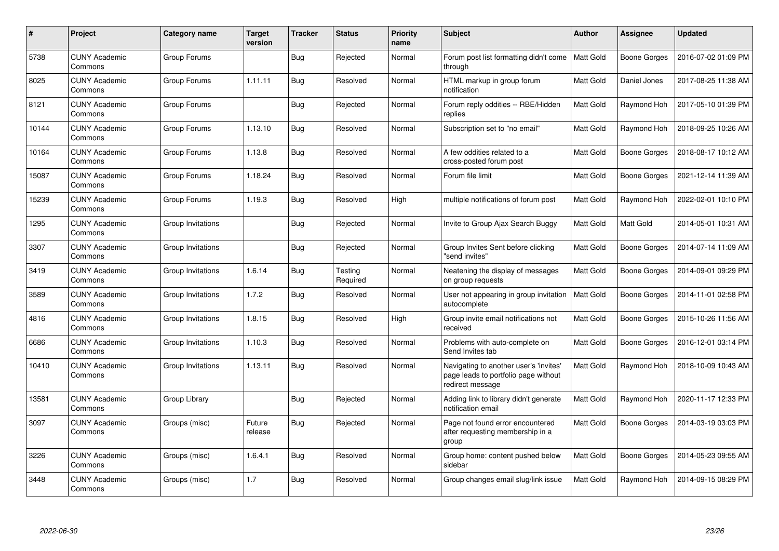| #     | Project                         | Category name     | <b>Target</b><br>version | <b>Tracker</b> | <b>Status</b>       | <b>Priority</b><br>name | <b>Subject</b>                                                                                     | <b>Author</b>    | Assignee            | <b>Updated</b>      |
|-------|---------------------------------|-------------------|--------------------------|----------------|---------------------|-------------------------|----------------------------------------------------------------------------------------------------|------------------|---------------------|---------------------|
| 5738  | <b>CUNY Academic</b><br>Commons | Group Forums      |                          | <b>Bug</b>     | Rejected            | Normal                  | Forum post list formatting didn't come<br>through                                                  | Matt Gold        | <b>Boone Gorges</b> | 2016-07-02 01:09 PM |
| 8025  | <b>CUNY Academic</b><br>Commons | Group Forums      | 1.11.11                  | Bug            | Resolved            | Normal                  | HTML markup in group forum<br>notification                                                         | Matt Gold        | Daniel Jones        | 2017-08-25 11:38 AM |
| 8121  | <b>CUNY Academic</b><br>Commons | Group Forums      |                          | Bug            | Rejected            | Normal                  | Forum reply oddities -- RBE/Hidden<br>replies                                                      | Matt Gold        | Raymond Hoh         | 2017-05-10 01:39 PM |
| 10144 | <b>CUNY Academic</b><br>Commons | Group Forums      | 1.13.10                  | Bug            | Resolved            | Normal                  | Subscription set to "no email"                                                                     | Matt Gold        | Raymond Hoh         | 2018-09-25 10:26 AM |
| 10164 | <b>CUNY Academic</b><br>Commons | Group Forums      | 1.13.8                   | Bug            | Resolved            | Normal                  | A few oddities related to a<br>cross-posted forum post                                             | Matt Gold        | <b>Boone Gorges</b> | 2018-08-17 10:12 AM |
| 15087 | <b>CUNY Academic</b><br>Commons | Group Forums      | 1.18.24                  | <b>Bug</b>     | Resolved            | Normal                  | Forum file limit                                                                                   | Matt Gold        | Boone Gorges        | 2021-12-14 11:39 AM |
| 15239 | <b>CUNY Academic</b><br>Commons | Group Forums      | 1.19.3                   | Bug            | Resolved            | High                    | multiple notifications of forum post                                                               | Matt Gold        | Raymond Hoh         | 2022-02-01 10:10 PM |
| 1295  | <b>CUNY Academic</b><br>Commons | Group Invitations |                          | Bug            | Rejected            | Normal                  | Invite to Group Ajax Search Buggy                                                                  | Matt Gold        | Matt Gold           | 2014-05-01 10:31 AM |
| 3307  | CUNY Academic<br>Commons        | Group Invitations |                          | Bug            | Rejected            | Normal                  | Group Invites Sent before clicking<br>"send invites"                                               | Matt Gold        | <b>Boone Gorges</b> | 2014-07-14 11:09 AM |
| 3419  | <b>CUNY Academic</b><br>Commons | Group Invitations | 1.6.14                   | Bug            | Testing<br>Required | Normal                  | Neatening the display of messages<br>on group requests                                             | Matt Gold        | <b>Boone Gorges</b> | 2014-09-01 09:29 PM |
| 3589  | <b>CUNY Academic</b><br>Commons | Group Invitations | 1.7.2                    | Bug            | Resolved            | Normal                  | User not appearing in group invitation<br>autocomplete                                             | <b>Matt Gold</b> | <b>Boone Gorges</b> | 2014-11-01 02:58 PM |
| 4816  | <b>CUNY Academic</b><br>Commons | Group Invitations | 1.8.15                   | Bug            | Resolved            | High                    | Group invite email notifications not<br>received                                                   | Matt Gold        | <b>Boone Gorges</b> | 2015-10-26 11:56 AM |
| 6686  | <b>CUNY Academic</b><br>Commons | Group Invitations | 1.10.3                   | <b>Bug</b>     | Resolved            | Normal                  | Problems with auto-complete on<br>Send Invites tab                                                 | Matt Gold        | Boone Gorges        | 2016-12-01 03:14 PM |
| 10410 | <b>CUNY Academic</b><br>Commons | Group Invitations | 1.13.11                  | <b>Bug</b>     | Resolved            | Normal                  | Navigating to another user's 'invites'<br>page leads to portfolio page without<br>redirect message | Matt Gold        | Raymond Hoh         | 2018-10-09 10:43 AM |
| 13581 | <b>CUNY Academic</b><br>Commons | Group Library     |                          | Bug            | Rejected            | Normal                  | Adding link to library didn't generate<br>notification email                                       | Matt Gold        | Raymond Hoh         | 2020-11-17 12:33 PM |
| 3097  | <b>CUNY Academic</b><br>Commons | Groups (misc)     | Future<br>release        | Bug            | Rejected            | Normal                  | Page not found error encountered<br>after requesting membership in a<br>group                      | Matt Gold        | <b>Boone Gorges</b> | 2014-03-19 03:03 PM |
| 3226  | <b>CUNY Academic</b><br>Commons | Groups (misc)     | 1.6.4.1                  | <b>Bug</b>     | Resolved            | Normal                  | Group home: content pushed below<br>sidebar                                                        | Matt Gold        | Boone Gorges        | 2014-05-23 09:55 AM |
| 3448  | <b>CUNY Academic</b><br>Commons | Groups (misc)     | 1.7                      | <b>Bug</b>     | Resolved            | Normal                  | Group changes email slug/link issue                                                                | Matt Gold        | Raymond Hoh         | 2014-09-15 08:29 PM |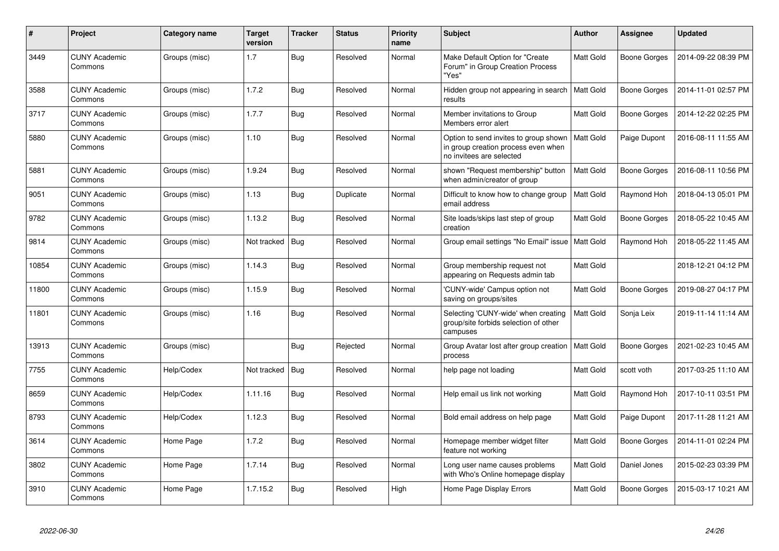| #     | <b>Project</b>                  | Category name | <b>Target</b><br>version | <b>Tracker</b> | <b>Status</b> | <b>Priority</b><br>name | <b>Subject</b>                                                                                           | <b>Author</b>    | Assignee            | Updated             |
|-------|---------------------------------|---------------|--------------------------|----------------|---------------|-------------------------|----------------------------------------------------------------------------------------------------------|------------------|---------------------|---------------------|
| 3449  | <b>CUNY Academic</b><br>Commons | Groups (misc) | 1.7                      | Bug            | Resolved      | Normal                  | Make Default Option for "Create<br>Forum" in Group Creation Process<br>"Yes"                             | <b>Matt Gold</b> | Boone Gorges        | 2014-09-22 08:39 PM |
| 3588  | <b>CUNY Academic</b><br>Commons | Groups (misc) | 1.7.2                    | Bug            | Resolved      | Normal                  | Hidden group not appearing in search<br>results                                                          | <b>Matt Gold</b> | Boone Gorges        | 2014-11-01 02:57 PM |
| 3717  | <b>CUNY Academic</b><br>Commons | Groups (misc) | 1.7.7                    | Bug            | Resolved      | Normal                  | Member invitations to Group<br>Members error alert                                                       | <b>Matt Gold</b> | Boone Gorges        | 2014-12-22 02:25 PM |
| 5880  | <b>CUNY Academic</b><br>Commons | Groups (misc) | 1.10                     | <b>Bug</b>     | Resolved      | Normal                  | Option to send invites to group shown<br>in group creation process even when<br>no invitees are selected | Matt Gold        | Paige Dupont        | 2016-08-11 11:55 AM |
| 5881  | <b>CUNY Academic</b><br>Commons | Groups (misc) | 1.9.24                   | Bug            | Resolved      | Normal                  | shown "Request membership" button<br>when admin/creator of group                                         | <b>Matt Gold</b> | Boone Gorges        | 2016-08-11 10:56 PM |
| 9051  | <b>CUNY Academic</b><br>Commons | Groups (misc) | 1.13                     | Bug            | Duplicate     | Normal                  | Difficult to know how to change group<br>email address                                                   | <b>Matt Gold</b> | Raymond Hoh         | 2018-04-13 05:01 PM |
| 9782  | <b>CUNY Academic</b><br>Commons | Groups (misc) | 1.13.2                   | Bug            | Resolved      | Normal                  | Site loads/skips last step of group<br>creation                                                          | <b>Matt Gold</b> | Boone Gorges        | 2018-05-22 10:45 AM |
| 9814  | <b>CUNY Academic</b><br>Commons | Groups (misc) | Not tracked              | Bug            | Resolved      | Normal                  | Group email settings "No Email" issue   Matt Gold                                                        |                  | Raymond Hoh         | 2018-05-22 11:45 AM |
| 10854 | <b>CUNY Academic</b><br>Commons | Groups (misc) | 1.14.3                   | <b>Bug</b>     | Resolved      | Normal                  | Group membership request not<br>appearing on Requests admin tab                                          | Matt Gold        |                     | 2018-12-21 04:12 PM |
| 11800 | <b>CUNY Academic</b><br>Commons | Groups (misc) | 1.15.9                   | <b>Bug</b>     | Resolved      | Normal                  | 'CUNY-wide' Campus option not<br>saving on groups/sites                                                  | <b>Matt Gold</b> | Boone Gorges        | 2019-08-27 04:17 PM |
| 11801 | <b>CUNY Academic</b><br>Commons | Groups (misc) | 1.16                     | Bug            | Resolved      | Normal                  | Selecting 'CUNY-wide' when creating<br>group/site forbids selection of other<br>campuses                 | Matt Gold        | Sonja Leix          | 2019-11-14 11:14 AM |
| 13913 | <b>CUNY Academic</b><br>Commons | Groups (misc) |                          | Bug            | Rejected      | Normal                  | Group Avatar lost after group creation<br>process                                                        | <b>Matt Gold</b> | Boone Gorges        | 2021-02-23 10:45 AM |
| 7755  | <b>CUNY Academic</b><br>Commons | Help/Codex    | Not tracked              | <b>Bug</b>     | Resolved      | Normal                  | help page not loading                                                                                    | <b>Matt Gold</b> | scott voth          | 2017-03-25 11:10 AM |
| 8659  | <b>CUNY Academic</b><br>Commons | Help/Codex    | 1.11.16                  | Bug            | Resolved      | Normal                  | Help email us link not working                                                                           | Matt Gold        | Raymond Hoh         | 2017-10-11 03:51 PM |
| 8793  | <b>CUNY Academic</b><br>Commons | Help/Codex    | 1.12.3                   | <b>Bug</b>     | Resolved      | Normal                  | Bold email address on help page                                                                          | Matt Gold        | Paige Dupont        | 2017-11-28 11:21 AM |
| 3614  | <b>CUNY Academic</b><br>Commons | Home Page     | 1.7.2                    | Bug            | Resolved      | Normal                  | Homepage member widget filter<br>feature not working                                                     | <b>Matt Gold</b> | Boone Gorges        | 2014-11-01 02:24 PM |
| 3802  | <b>CUNY Academic</b><br>Commons | Home Page     | 1.7.14                   | <b>Bug</b>     | Resolved      | Normal                  | Long user name causes problems<br>with Who's Online homepage display                                     | Matt Gold        | Daniel Jones        | 2015-02-23 03:39 PM |
| 3910  | <b>CUNY Academic</b><br>Commons | Home Page     | 1.7.15.2                 | <b>Bug</b>     | Resolved      | High                    | Home Page Display Errors                                                                                 | <b>Matt Gold</b> | <b>Boone Gorges</b> | 2015-03-17 10:21 AM |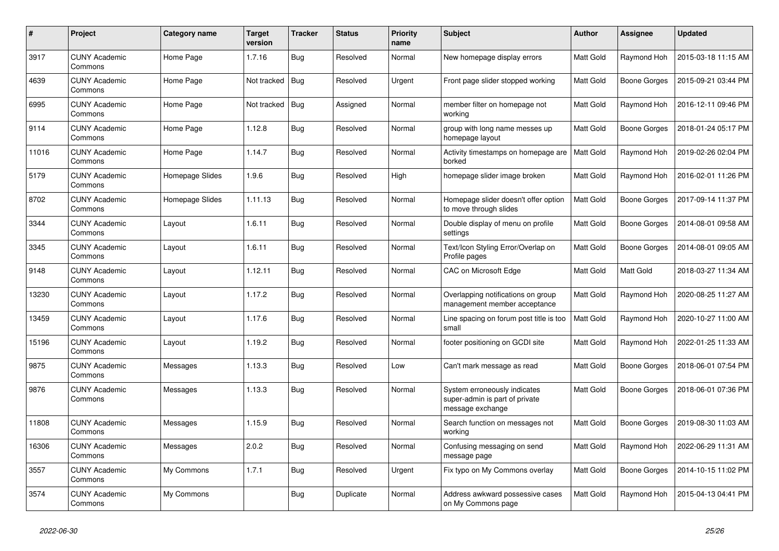| $\#$  | Project                         | Category name   | <b>Target</b><br>version | <b>Tracker</b> | <b>Status</b> | <b>Priority</b><br>name | <b>Subject</b>                                                                     | <b>Author</b> | Assignee            | <b>Updated</b>      |
|-------|---------------------------------|-----------------|--------------------------|----------------|---------------|-------------------------|------------------------------------------------------------------------------------|---------------|---------------------|---------------------|
| 3917  | <b>CUNY Academic</b><br>Commons | Home Page       | 1.7.16                   | Bug            | Resolved      | Normal                  | New homepage display errors                                                        | Matt Gold     | Raymond Hoh         | 2015-03-18 11:15 AM |
| 4639  | <b>CUNY Academic</b><br>Commons | Home Page       | Not tracked              | Bug            | Resolved      | Urgent                  | Front page slider stopped working                                                  | Matt Gold     | Boone Gorges        | 2015-09-21 03:44 PM |
| 6995  | <b>CUNY Academic</b><br>Commons | Home Page       | Not tracked              | Bug            | Assigned      | Normal                  | member filter on homepage not<br>working                                           | Matt Gold     | Raymond Hoh         | 2016-12-11 09:46 PM |
| 9114  | <b>CUNY Academic</b><br>Commons | Home Page       | 1.12.8                   | Bug            | Resolved      | Normal                  | group with long name messes up<br>homepage layout                                  | Matt Gold     | Boone Gorges        | 2018-01-24 05:17 PM |
| 11016 | <b>CUNY Academic</b><br>Commons | Home Page       | 1.14.7                   | Bug            | Resolved      | Normal                  | Activity timestamps on homepage are<br>borked                                      | Matt Gold     | Raymond Hoh         | 2019-02-26 02:04 PM |
| 5179  | <b>CUNY Academic</b><br>Commons | Homepage Slides | 1.9.6                    | <b>Bug</b>     | Resolved      | High                    | homepage slider image broken                                                       | Matt Gold     | Raymond Hoh         | 2016-02-01 11:26 PM |
| 8702  | <b>CUNY Academic</b><br>Commons | Homepage Slides | 1.11.13                  | <b>Bug</b>     | Resolved      | Normal                  | Homepage slider doesn't offer option<br>to move through slides                     | Matt Gold     | Boone Gorges        | 2017-09-14 11:37 PM |
| 3344  | <b>CUNY Academic</b><br>Commons | Layout          | 1.6.11                   | Bug            | Resolved      | Normal                  | Double display of menu on profile<br>settings                                      | Matt Gold     | Boone Gorges        | 2014-08-01 09:58 AM |
| 3345  | <b>CUNY Academic</b><br>Commons | Layout          | 1.6.11                   | Bug            | Resolved      | Normal                  | Text/Icon Styling Error/Overlap on<br>Profile pages                                | Matt Gold     | <b>Boone Gorges</b> | 2014-08-01 09:05 AM |
| 9148  | <b>CUNY Academic</b><br>Commons | Layout          | 1.12.11                  | <b>Bug</b>     | Resolved      | Normal                  | CAC on Microsoft Edge                                                              | Matt Gold     | Matt Gold           | 2018-03-27 11:34 AM |
| 13230 | <b>CUNY Academic</b><br>Commons | Layout          | 1.17.2                   | <b>Bug</b>     | Resolved      | Normal                  | Overlapping notifications on group<br>management member acceptance                 | Matt Gold     | Raymond Hoh         | 2020-08-25 11:27 AM |
| 13459 | <b>CUNY Academic</b><br>Commons | Layout          | 1.17.6                   | Bug            | Resolved      | Normal                  | Line spacing on forum post title is too<br>small                                   | Matt Gold     | Raymond Hoh         | 2020-10-27 11:00 AM |
| 15196 | <b>CUNY Academic</b><br>Commons | Layout          | 1.19.2                   | Bug            | Resolved      | Normal                  | footer positioning on GCDI site                                                    | Matt Gold     | Raymond Hoh         | 2022-01-25 11:33 AM |
| 9875  | <b>CUNY Academic</b><br>Commons | Messages        | 1.13.3                   | <b>Bug</b>     | Resolved      | Low                     | Can't mark message as read                                                         | Matt Gold     | Boone Gorges        | 2018-06-01 07:54 PM |
| 9876  | <b>CUNY Academic</b><br>Commons | Messages        | 1.13.3                   | Bug            | Resolved      | Normal                  | System erroneously indicates<br>super-admin is part of private<br>message exchange | Matt Gold     | <b>Boone Gorges</b> | 2018-06-01 07:36 PM |
| 11808 | <b>CUNY Academic</b><br>Commons | Messages        | 1.15.9                   | <b>Bug</b>     | Resolved      | Normal                  | Search function on messages not<br>working                                         | Matt Gold     | <b>Boone Gorges</b> | 2019-08-30 11:03 AM |
| 16306 | <b>CUNY Academic</b><br>Commons | Messages        | 2.0.2                    | <b>Bug</b>     | Resolved      | Normal                  | Confusing messaging on send<br>message page                                        | Matt Gold     | Raymond Hoh         | 2022-06-29 11:31 AM |
| 3557  | <b>CUNY Academic</b><br>Commons | My Commons      | 1.7.1                    | Bug            | Resolved      | Urgent                  | Fix typo on My Commons overlay                                                     | Matt Gold     | Boone Gorges        | 2014-10-15 11:02 PM |
| 3574  | <b>CUNY Academic</b><br>Commons | My Commons      |                          | <b>Bug</b>     | Duplicate     | Normal                  | Address awkward possessive cases<br>on My Commons page                             | Matt Gold     | Raymond Hoh         | 2015-04-13 04:41 PM |